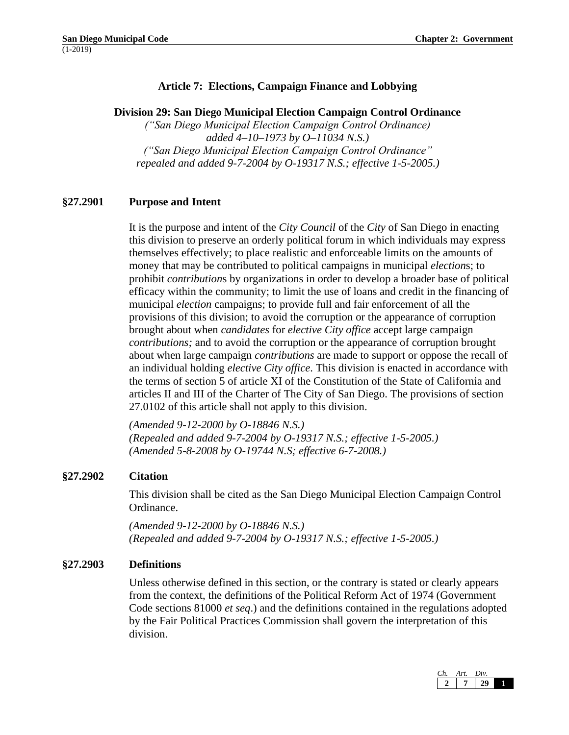# **Article 7: Elections, Campaign Finance and Lobbying**

#### **Division 29: San Diego Municipal Election Campaign Control Ordinance**

*("San Diego Municipal Election Campaign Control Ordinance) added 4–10–1973 by O–11034 N.S.) ("San Diego Municipal Election Campaign Control Ordinance" repealed and added 9-7-2004 by O-19317 N.S.; effective 1-5-2005.)*

## **§27.2901 Purpose and Intent**

It is the purpose and intent of the *City Council* of the *City* of San Diego in enacting this division to preserve an orderly political forum in which individuals may express themselves effectively; to place realistic and enforceable limits on the amounts of money that may be contributed to political campaigns in municipal *election*s; to prohibit *contribution*s by organizations in order to develop a broader base of political efficacy within the community; to limit the use of loans and credit in the financing of municipal *election* campaigns; to provide full and fair enforcement of all the provisions of this division; to avoid the corruption or the appearance of corruption brought about when *candidates* for *elective City office* accept large campaign *contributions;* and to avoid the corruption or the appearance of corruption brought about when large campaign *contributions* are made to support or oppose the recall of an individual holding *elective City office*. This division is enacted in accordance with the terms of section 5 of article XI of the Constitution of the State of California and articles II and III of the Charter of The City of San Diego. The provisions of section 27.0102 of this article shall not apply to this division.

*(Amended 9-12-2000 by O-18846 N.S.) (Repealed and added 9-7-2004 by O-19317 N.S.; effective 1-5-2005.) (Amended 5-8-2008 by O-19744 N.S; effective 6-7-2008.)* 

## **§27.2902 Citation**

This division shall be cited as the San Diego Municipal Election Campaign Control Ordinance.

*(Amended 9-12-2000 by O-18846 N.S.) (Repealed and added 9-7-2004 by O-19317 N.S.; effective 1-5-2005.)*

## **§27.2903 Definitions**

Unless otherwise defined in this section, or the contrary is stated or clearly appears from the context, the definitions of the Political Reform Act of 1974 (Government Code sections 81000 *et seq*.) and the definitions contained in the regulations adopted by the Fair Political Practices Commission shall govern the interpretation of this division.

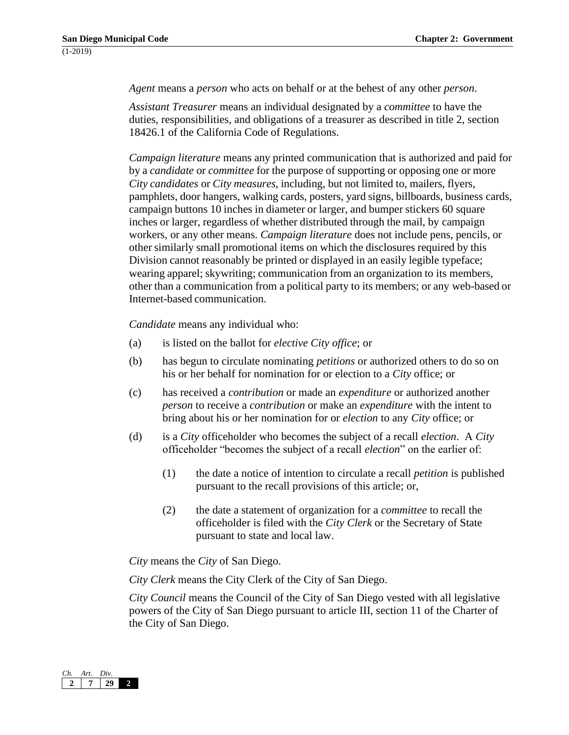*Agent* means a *person* who acts on behalf or at the behest of any other *person*.

*Assistant Treasurer* means an individual designated by a *committee* to have the duties, responsibilities, and obligations of a treasurer as described in title 2, section 18426.1 of the California Code of Regulations.

*Campaign literature* means any printed communication that is authorized and paid for by a *candidate* or *committee* for the purpose of supporting or opposing one or more *City candidates* or *City measures*, including, but not limited to, mailers, flyers, pamphlets, door hangers, walking cards, posters, yard signs, billboards, business cards, campaign buttons 10 inches in diameter or larger, and bumper stickers 60 square inches or larger, regardless of whether distributed through the mail, by campaign workers, or any other means. *Campaign literature* does not include pens, pencils, or other similarly small promotional items on which the disclosures required by this Division cannot reasonably be printed or displayed in an easily legible typeface; wearing apparel; skywriting; communication from an organization to its members, other than a communication from a political party to its members; or any web-based or Internet-based communication.

*Candidate* means any individual who:

- (a) is listed on the ballot for *elective City office*; or
- (b) has begun to circulate nominating *petitions* or authorized others to do so on his or her behalf for nomination for or election to a *City* office; or
- (c) has received a *contribution* or made an *expenditure* or authorized another *person* to receive a *contribution* or make an *expenditure* with the intent to bring about his or her nomination for or *election* to any *City* office; or
- (d) is a *City* officeholder who becomes the subject of a recall *election*. A *City* officeholder "becomes the subject of a recall *election*" on the earlier of:
	- (1) the date a notice of intention to circulate a recall *petition* is published pursuant to the recall provisions of this article; or,
	- (2) the date a statement of organization for a *committee* to recall the officeholder is filed with the *City Clerk* or the Secretary of State pursuant to state and local law.

*City* means the *City* of San Diego.

*City Clerk* means the City Clerk of the City of San Diego.

*City Council* means the Council of the City of San Diego vested with all legislative powers of the City of San Diego pursuant to article III, section 11 of the Charter of the City of San Diego.

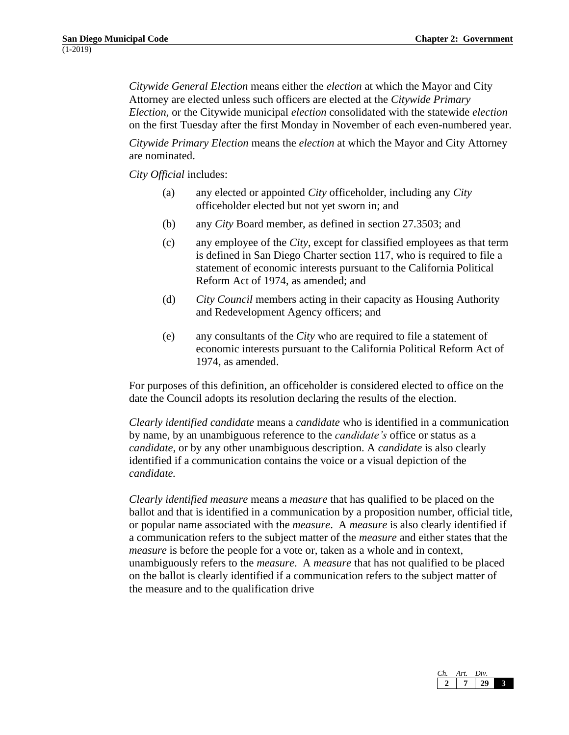*Citywide General Election* means either the *election* at which the Mayor and City Attorney are elected unless such officers are elected at the *Citywide Primary Election,* or the Citywide municipal *election* consolidated with the statewide *election*  on the first Tuesday after the first Monday in November of each even-numbered year.

*Citywide Primary Election* means the *election* at which the Mayor and City Attorney are nominated.

*City Official* includes:

- (a) any elected or appointed *City* officeholder, including any *City*  officeholder elected but not yet sworn in; and
- (b) any *City* Board member, as defined in section 27.3503; and
- (c) any employee of the *City*, except for classified employees as that term is defined in San Diego Charter section 117, who is required to file a statement of economic interests pursuant to the California Political Reform Act of 1974, as amended; and
- (d) *City Council* members acting in their capacity as Housing Authority and Redevelopment Agency officers; and
- (e) any consultants of the *City* who are required to file a statement of economic interests pursuant to the California Political Reform Act of 1974, as amended.

For purposes of this definition, an officeholder is considered elected to office on the date the Council adopts its resolution declaring the results of the election.

*Clearly identified candidate* means a *candidate* who is identified in a communication by name, by an unambiguous reference to the *candidate's* office or status as a *candidate*, or by any other unambiguous description. A *candidate* is also clearly identified if a communication contains the voice or a visual depiction of the *candidate.*

*Clearly identified measure* means a *measure* that has qualified to be placed on the ballot and that is identified in a communication by a proposition number, official title, or popular name associated with the *measure*. A *measure* is also clearly identified if a communication refers to the subject matter of the *measure* and either states that the *measure* is before the people for a vote or, taken as a whole and in context, unambiguously refers to the *measure*. A *measure* that has not qualified to be placed on the ballot is clearly identified if a communication refers to the subject matter of the measure and to the qualification drive

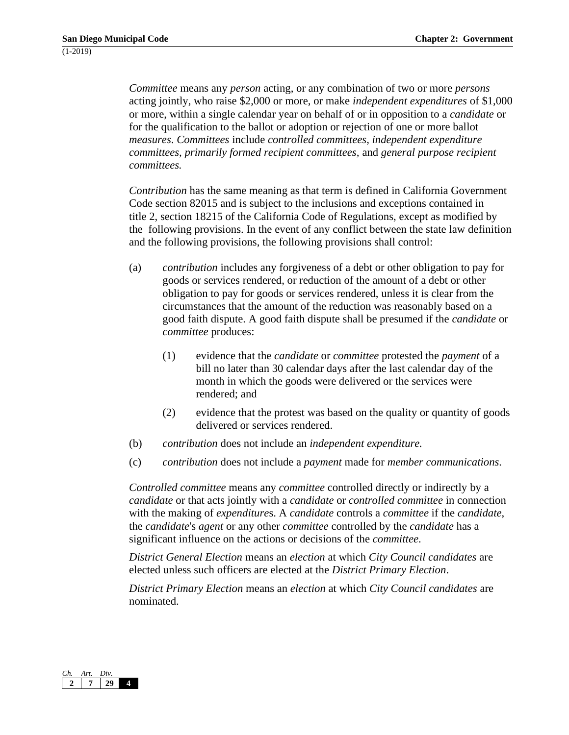*Committee* means any *person* acting, or any combination of two or more *persons*  acting jointly, who raise \$2,000 or more, or make *independent expenditures* of \$1,000 or more, within a single calendar year on behalf of or in opposition to a *candidate* or for the qualification to the ballot or adoption or rejection of one or more ballot *measures*. *Committees* include *controlled committees, independent expenditure committees, primarily formed recipient committees,* and *general purpose recipient committees.*

*Contribution* has the same meaning as that term is defined in California Government Code section 82015 and is subject to the inclusions and exceptions contained in title 2, section 18215 of the California Code of Regulations, except as modified by the following provisions. In the event of any conflict between the state law definition and the following provisions, the following provisions shall control:

- (a) *contribution* includes any forgiveness of a debt or other obligation to pay for goods or services rendered, or reduction of the amount of a debt or other obligation to pay for goods or services rendered, unless it is clear from the circumstances that the amount of the reduction was reasonably based on a good faith dispute. A good faith dispute shall be presumed if the *candidate* or *committee* produces:
	- (1) evidence that the *candidate* or *committee* protested the *payment* of a bill no later than 30 calendar days after the last calendar day of the month in which the goods were delivered or the services were rendered; and
	- (2) evidence that the protest was based on the quality or quantity of goods delivered or services rendered.
- (b) *contribution* does not include an *independent expenditure.*
- (c) *contribution* does not include a *payment* made for *member communications.*

*Controlled committee* means any *committee* controlled directly or indirectly by a *candidate* or that acts jointly with a *candidate* or *controlled committee* in connection with the making of *expenditure*s. A *candidate* controls a *committee* if the *candidate*, the *candidate*'s *agent* or any other *committee* controlled by the *candidate* has a significant influence on the actions or decisions of the *committee*.

*District General Election* means an *election* at which *City Council candidates* are elected unless such officers are elected at the *District Primary Election*.

*District Primary Election* means an *election* at which *City Council candidates* are nominated.

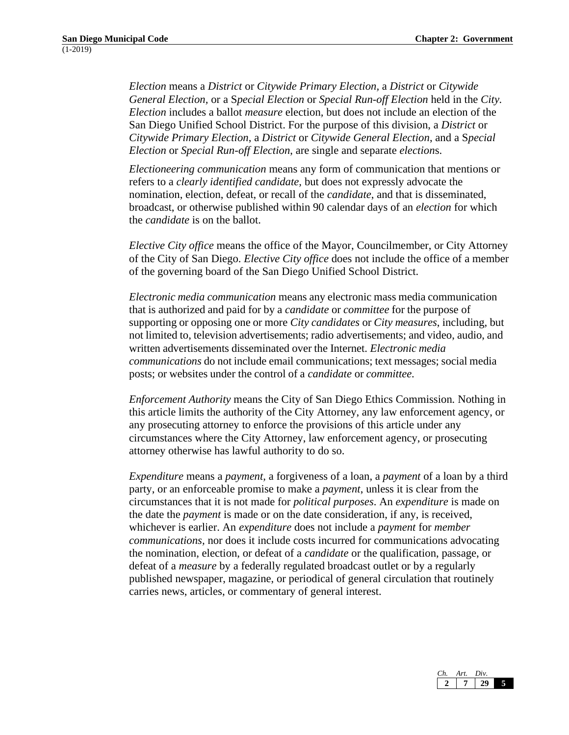*Election* means a *District* or *Citywide Primary Election,* a *District* or *Citywide General Election,* or a S*pecial Election* or *Special Run-off Election* held in the *City. Election* includes a ballot *measure* election*,* but does not include an election of the San Diego Unified School District. For the purpose of this division, a *District* or *Citywide Primary Election*, a *District* or *Citywide General Election*, and a S*pecial Election* or *Special Run-off Election*, are single and separate *election*s.

*Electioneering communication* means any form of communication that mentions or refers to a *clearly identified candidate,* but does not expressly advocate the nomination, election, defeat, or recall of the *candidate*, and that is disseminated, broadcast, or otherwise published within 90 calendar days of an *election* for which the *candidate* is on the ballot.

*Elective City office* means the office of the Mayor, Councilmember, or City Attorney of the City of San Diego. *Elective City office* does not include the office of a member of the governing board of the San Diego Unified School District.

*Electronic media communication* means any electronic mass media communication that is authorized and paid for by a *candidate* or *committee* for the purpose of supporting or opposing one or more *City candidates* or *City measures*, including, but not limited to, television advertisements; radio advertisements; and video, audio, and written advertisements disseminated over the Internet. *Electronic media communications* do not include email communications; text messages; social media posts; or websites under the control of a *candidate* or *committee*.

*Enforcement Authority* means the City of San Diego Ethics Commission*.* Nothing in this article limits the authority of the City Attorney, any law enforcement agency, or any prosecuting attorney to enforce the provisions of this article under any circumstances where the City Attorney, law enforcement agency, or prosecuting attorney otherwise has lawful authority to do so.

*Expenditure* means a *payment,* a forgiveness of a loan, a *payment* of a loan by a third party, or an enforceable promise to make a *payment*, unless it is clear from the circumstances that it is not made for *political purposes*. An *expenditure* is made on the date the *payment* is made or on the date consideration, if any, is received, whichever is earlier. An *expenditure* does not include a *payment* for *member communications,* nor does it include costs incurred for communications advocating the nomination, election, or defeat of a *candidate* or the qualification, passage, or defeat of a *measure* by a federally regulated broadcast outlet or by a regularly published newspaper, magazine, or periodical of general circulation that routinely carries news, articles, or commentary of general interest.

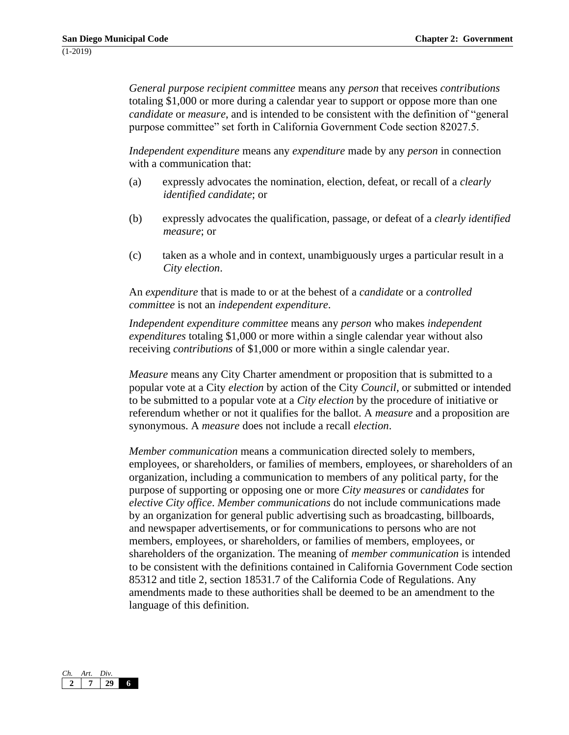*General purpose recipient committee* means any *person* that receives *contributions*  totaling \$1,000 or more during a calendar year to support or oppose more than one *candidate* or *measure*, and is intended to be consistent with the definition of "general purpose committee" set forth in California Government Code section 82027.5.

*Independent expenditure* means any *expenditure* made by any *person* in connection with a communication that:

- (a) expressly advocates the nomination, election, defeat, or recall of a *clearly identified candidate*; or
- (b) expressly advocates the qualification, passage, or defeat of a *clearly identified measure*; or
- (c) taken as a whole and in context, unambiguously urges a particular result in a *City election*.

An *expenditure* that is made to or at the behest of a *candidate* or a *controlled committee* is not an *independent expenditure*.

*Independent expenditure committee* means any *person* who makes *independent expenditures* totaling \$1,000 or more within a single calendar year without also receiving *contributions* of \$1,000 or more within a single calendar year.

*Measure* means any City Charter amendment or proposition that is submitted to a popular vote at a City *election* by action of the City *Council,* or submitted or intended to be submitted to a popular vote at a *City election* by the procedure of initiative or referendum whether or not it qualifies for the ballot. A *measure* and a proposition are synonymous. A *measure* does not include a recall *election*.

*Member communication* means a communication directed solely to members, employees, or shareholders, or families of members, employees, or shareholders of an organization, including a communication to members of any political party, for the purpose of supporting or opposing one or more *City measures* or *candidates* for *elective City office*. *Member communications* do not include communications made by an organization for general public advertising such as broadcasting, billboards, and newspaper advertisements, or for communications to persons who are not members, employees, or shareholders, or families of members, employees, or shareholders of the organization. The meaning of *member communication* is intended to be consistent with the definitions contained in California Government Code section 85312 and title 2, section 18531.7 of the California Code of Regulations. Any amendments made to these authorities shall be deemed to be an amendment to the language of this definition.

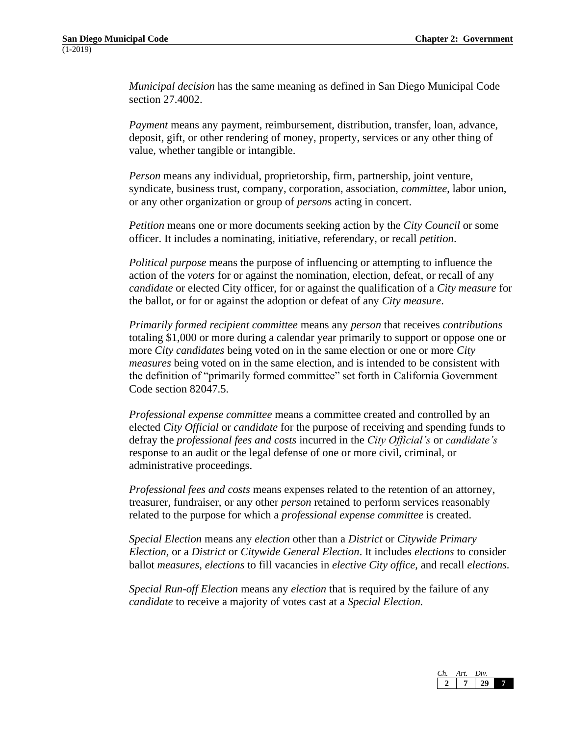*Municipal decision* has the same meaning as defined in San Diego Municipal Code section 27.4002.

*Payment* means any payment, reimbursement, distribution, transfer, loan, advance, deposit, gift, or other rendering of money, property, services or any other thing of value, whether tangible or intangible.

*Person* means any individual, proprietorship, firm, partnership, joint venture, syndicate, business trust, company, corporation, association, *committee*, labor union, or any other organization or group of *person*s acting in concert.

*Petition* means one or more documents seeking action by the *City Council* or some officer. It includes a nominating, initiative, referendary, or recall *petition*.

*Political purpose* means the purpose of influencing or attempting to influence the action of the *voters* for or against the nomination, election, defeat, or recall of any *candidate* or elected City officer, for or against the qualification of a *City measure* for the ballot, or for or against the adoption or defeat of any *City measure*.

*Primarily formed recipient committee* means any *person* that receives *contributions*  totaling \$1,000 or more during a calendar year primarily to support or oppose one or more *City candidates* being voted on in the same election or one or more *City measures* being voted on in the same election, and is intended to be consistent with the definition of "primarily formed committee" set forth in California Government Code section 82047.5.

*Professional expense committee* means a committee created and controlled by an elected *City Official* or *candidate* for the purpose of receiving and spending funds to defray the *professional fees and costs* incurred in the *City Official's* or *candidate's* response to an audit or the legal defense of one or more civil, criminal, or administrative proceedings.

*Professional fees and costs* means expenses related to the retention of an attorney, treasurer, fundraiser, or any other *person* retained to perform services reasonably related to the purpose for which a *professional expense committee* is created.

*Special Election* means any *election* other than a *District* or *Citywide Primary Election,* or a *District* or *Citywide General Election*. It includes *elections* to consider ballot *measures, elections* to fill vacancies in *elective City office,* and recall *elections.*

*Special Run-off Election* means any *election* that is required by the failure of any *candidate* to receive a majority of votes cast at a *Special Election.*

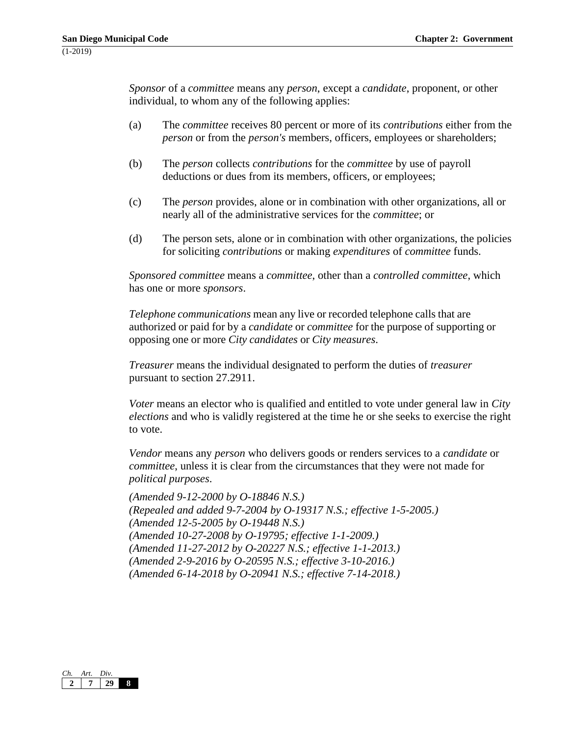*Sponsor* of a *committee* means any *person*, except a *candidate*, proponent, or other individual, to whom any of the following applies:

- (a) The *committee* receives 80 percent or more of its *contributions* either from the *person* or from the *person's* members, officers, employees or shareholders;
- (b) The *person* collects *contributions* for the *committee* by use of payroll deductions or dues from its members, officers, or employees;
- (c) The *person* provides, alone or in combination with other organizations, all or nearly all of the administrative services for the *committee*; or
- (d) The person sets, alone or in combination with other organizations, the policies for soliciting *contributions* or making *expenditures* of *committee* funds.

*Sponsored committee* means a *committee*, other than a *controlled committee*, which has one or more *sponsors*.

*Telephone communications* mean any live or recorded telephone calls that are authorized or paid for by a *candidate* or *committee* for the purpose of supporting or opposing one or more *City candidates* or *City measures*.

*Treasurer* means the individual designated to perform the duties of *treasurer*  pursuant to section 27.2911.

*Voter* means an elector who is qualified and entitled to vote under general law in *City elections* and who is validly registered at the time he or she seeks to exercise the right to vote.

*Vendor* means any *person* who delivers goods or renders services to a *candidate* or *committee*, unless it is clear from the circumstances that they were not made for *political purposes*.

*(Amended 9-12-2000 by O-18846 N.S.) (Repealed and added 9-7-2004 by O-19317 N.S.; effective 1-5-2005.) (Amended 12-5-2005 by O-19448 N.S.) (Amended 10-27-2008 by O-19795; effective 1-1-2009.) (Amended 11-27-2012 by O-20227 N.S.; effective 1-1-2013.) (Amended 2-9-2016 by O-20595 N.S.; effective 3-10-2016.) (Amended 6-14-2018 by O-20941 N.S.; effective 7-14-2018.)*

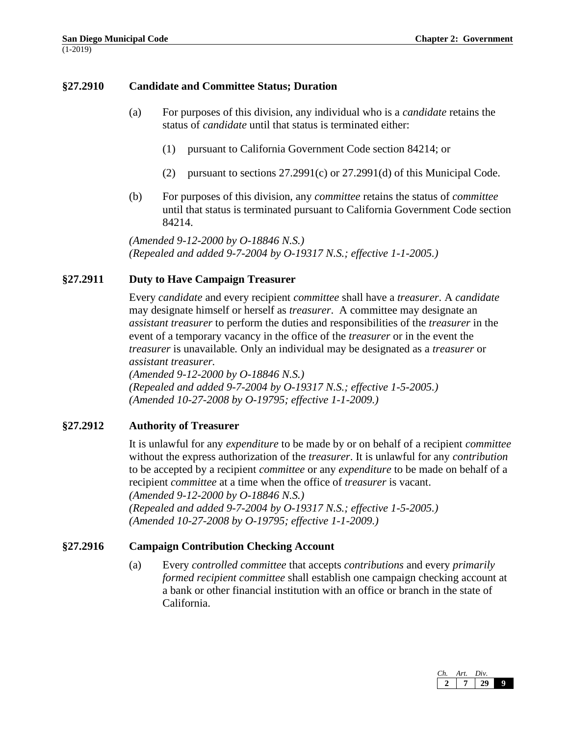## **§27.2910 Candidate and Committee Status; Duration**

- (a) For purposes of this division, any individual who is a *candidate* retains the status of *candidate* until that status is terminated either:
	- (1) pursuant to California Government Code section 84214; or
	- (2) pursuant to sections 27.2991(c) or 27.2991(d) of this Municipal Code.
- (b) For purposes of this division, any *committee* retains the status of *committee*  until that status is terminated pursuant to California Government Code section 84214.

*(Amended 9-12-2000 by O-18846 N.S.) (Repealed and added 9-7-2004 by O-19317 N.S.; effective 1-1-2005.)*

## **§27.2911 Duty to Have Campaign Treasurer**

Every *candidate* and every recipient *committee* shall have a *treasurer*. A *candidate*  may designate himself or herself as *treasurer*. A committee may designate an *assistant treasurer* to perform the duties and responsibilities of the *treasurer* in the event of a temporary vacancy in the office of the *treasurer* or in the event the *treasurer* is unavailable*.* Only an individual may be designated as a *treasurer* or *assistant treasurer.*

*(Amended 9-12-2000 by O-18846 N.S.) (Repealed and added 9-7-2004 by O-19317 N.S.; effective 1-5-2005.) (Amended 10-27-2008 by O-19795; effective 1-1-2009.)*

## **§27.2912 Authority of Treasurer**

It is unlawful for any *expenditure* to be made by or on behalf of a recipient *committee*  without the express authorization of the *treasurer*. It is unlawful for any *contribution* to be accepted by a recipient *committee* or any *expenditure* to be made on behalf of a recipient *committee* at a time when the office of *treasurer* is vacant. *(Amended 9-12-2000 by O-18846 N.S.) (Repealed and added 9-7-2004 by O-19317 N.S.; effective 1-5-2005.)*

*(Amended 10-27-2008 by O-19795; effective 1-1-2009.)*

## **§27.2916 Campaign Contribution Checking Account**

(a) Every *controlled committee* that accepts *contributions* and every *primarily formed recipient committee* shall establish one campaign checking account at a bank or other financial institution with an office or branch in the state of California.

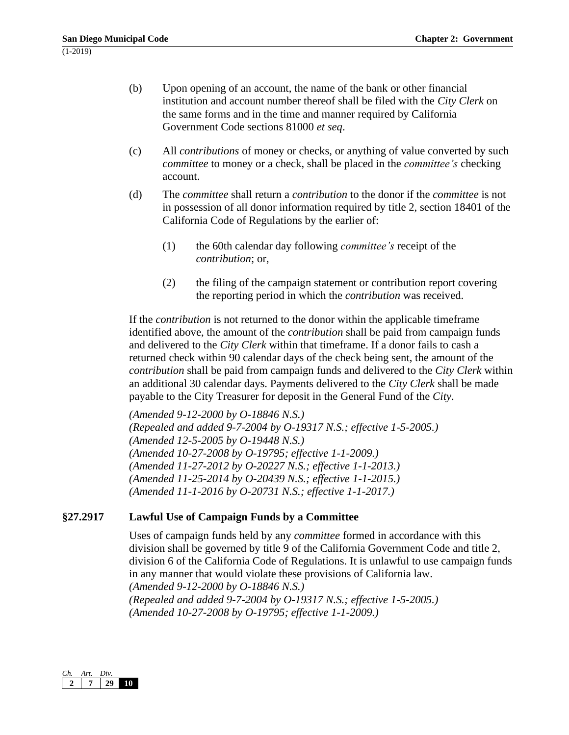- (b) Upon opening of an account, the name of the bank or other financial institution and account number thereof shall be filed with the *City Clerk* on the same forms and in the time and manner required by California Government Code sections 81000 *et seq*.
- (c) All *contributions* of money or checks, or anything of value converted by such *committee* to money or a check, shall be placed in the *committee's* checking account.
- (d) The *committee* shall return a *contribution* to the donor if the *committee* is not in possession of all donor information required by title 2, section 18401 of the California Code of Regulations by the earlier of:
	- (1) the 60th calendar day following *committee's* receipt of the *contribution*; or,
	- (2) the filing of the campaign statement or contribution report covering the reporting period in which the *contribution* was received.

If the *contribution* is not returned to the donor within the applicable timeframe identified above, the amount of the *contribution* shall be paid from campaign funds and delivered to the *City Clerk* within that timeframe. If a donor fails to cash a returned check within 90 calendar days of the check being sent, the amount of the *contribution* shall be paid from campaign funds and delivered to the *City Clerk* within an additional 30 calendar days. Payments delivered to the *City Clerk* shall be made payable to the City Treasurer for deposit in the General Fund of the *City*.

*(Amended 9-12-2000 by O-18846 N.S.) (Repealed and added 9-7-2004 by O-19317 N.S.; effective 1-5-2005.) (Amended 12-5-2005 by O-19448 N.S.) (Amended 10-27-2008 by O-19795; effective 1-1-2009.) (Amended 11-27-2012 by O-20227 N.S.; effective 1-1-2013.) (Amended 11-25-2014 by O-20439 N.S.; effective 1-1-2015.) (Amended 11-1-2016 by O-20731 N.S.; effective 1-1-2017.)*

# **§27.2917 Lawful Use of Campaign Funds by a Committee**

Uses of campaign funds held by any *committee* formed in accordance with this division shall be governed by title 9 of the California Government Code and title 2, division 6 of the California Code of Regulations. It is unlawful to use campaign funds in any manner that would violate these provisions of California law. *(Amended 9-12-2000 by O-18846 N.S.) (Repealed and added 9-7-2004 by O-19317 N.S.; effective 1-5-2005.) (Amended 10-27-2008 by O-19795; effective 1-1-2009.)*

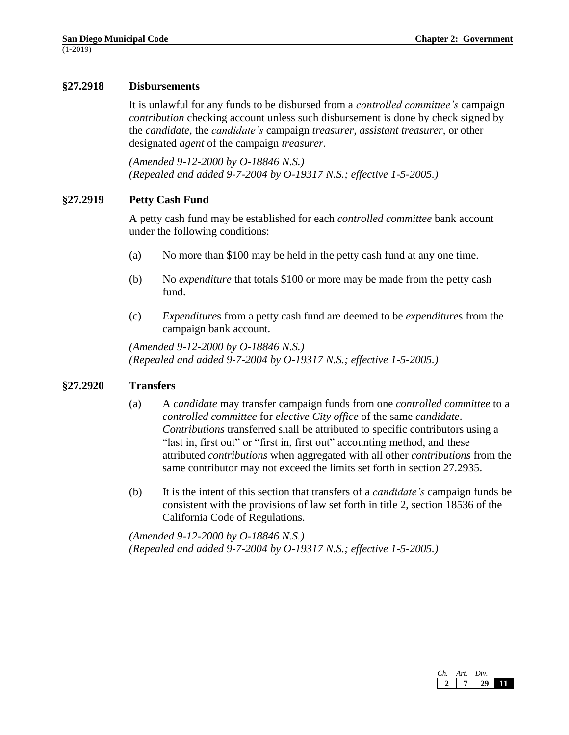## **§27.2918 Disbursements**

It is unlawful for any funds to be disbursed from a *controlled committee's* campaign *contribution* checking account unless such disbursement is done by check signed by the *candidate,* the *candidate's* campaign *treasurer, assistant treasurer,* or other designated *agent* of the campaign *treasurer*.

*(Amended 9-12-2000 by O-18846 N.S.) (Repealed and added 9-7-2004 by O-19317 N.S.; effective 1-5-2005.)*

## **§27.2919 Petty Cash Fund**

A petty cash fund may be established for each *controlled committee* bank account under the following conditions:

- (a) No more than \$100 may be held in the petty cash fund at any one time.
- (b) No *expenditure* that totals \$100 or more may be made from the petty cash fund.
- (c) *Expenditure*s from a petty cash fund are deemed to be *expenditure*s from the campaign bank account.

*(Amended 9-12-2000 by O-18846 N.S.) (Repealed and added 9-7-2004 by O-19317 N.S.; effective 1-5-2005.)*

#### **§27.2920 Transfers**

- (a) A *candidate* may transfer campaign funds from one *controlled committee* to a *controlled committee* for *elective City office* of the same *candidate*. *Contributions* transferred shall be attributed to specific contributors using a "last in, first out" or "first in, first out" accounting method, and these attributed *contributions* when aggregated with all other *contributions* from the same contributor may not exceed the limits set forth in section 27.2935.
- (b) It is the intent of this section that transfers of a *candidate's* campaign funds be consistent with the provisions of law set forth in title 2, section 18536 of the California Code of Regulations.

*(Amended 9-12-2000 by O-18846 N.S.) (Repealed and added 9-7-2004 by O-19317 N.S.; effective 1-5-2005.)*

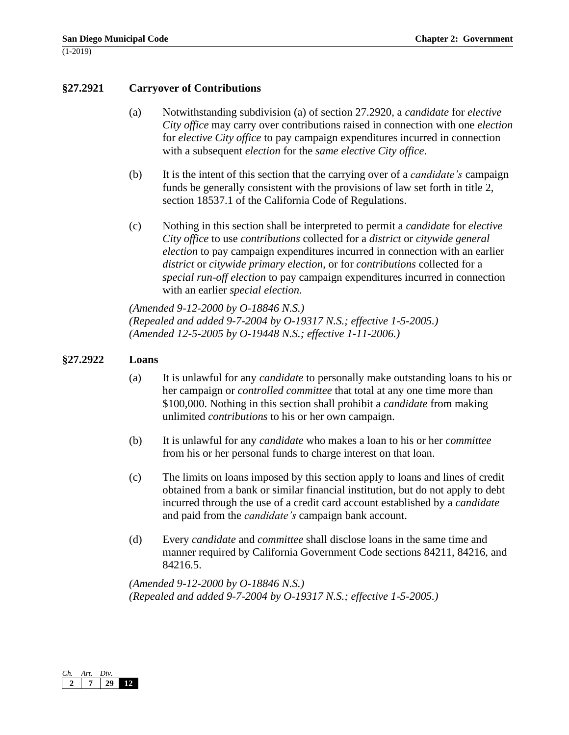#### **§27.2921 Carryover of Contributions**

- (a) Notwithstanding subdivision (a) of section 27.2920, a *candidate* for *elective City office* may carry over contributions raised in connection with one *election* for *elective City office* to pay campaign expenditures incurred in connection with a subsequent *election* for the *same elective City office*.
- (b) It is the intent of this section that the carrying over of a *candidate's* campaign funds be generally consistent with the provisions of law set forth in title 2, section 18537.1 of the California Code of Regulations.
- (c) Nothing in this section shall be interpreted to permit a *candidate* for *elective City office* to use *contributions* collected for a *district* or *citywide general election* to pay campaign expenditures incurred in connection with an earlier *district* or *citywide primary election*, or for *contributions* collected for a *special run-off election* to pay campaign expenditures incurred in connection with an earlier *special election.*

*(Amended 9-12-2000 by O-18846 N.S.) (Repealed and added 9-7-2004 by O-19317 N.S.; effective 1-5-2005.) (Amended 12-5-2005 by O-19448 N.S.; effective 1-11-2006.)*

#### **§27.2922 Loans**

- (a) It is unlawful for any *candidate* to personally make outstanding loans to his or her campaign or *controlled committee* that total at any one time more than \$100,000. Nothing in this section shall prohibit a *candidate* from making unlimited *contributions* to his or her own campaign.
- (b) It is unlawful for any *candidate* who makes a loan to his or her *committee*  from his or her personal funds to charge interest on that loan.
- (c) The limits on loans imposed by this section apply to loans and lines of credit obtained from a bank or similar financial institution, but do not apply to debt incurred through the use of a credit card account established by a *candidate* and paid from the *candidate's* campaign bank account.
- (d) Every *candidate* and *committee* shall disclose loans in the same time and manner required by California Government Code sections 84211, 84216, and 84216.5.

*(Amended 9-12-2000 by O-18846 N.S.) (Repealed and added 9-7-2004 by O-19317 N.S.; effective 1-5-2005.)*

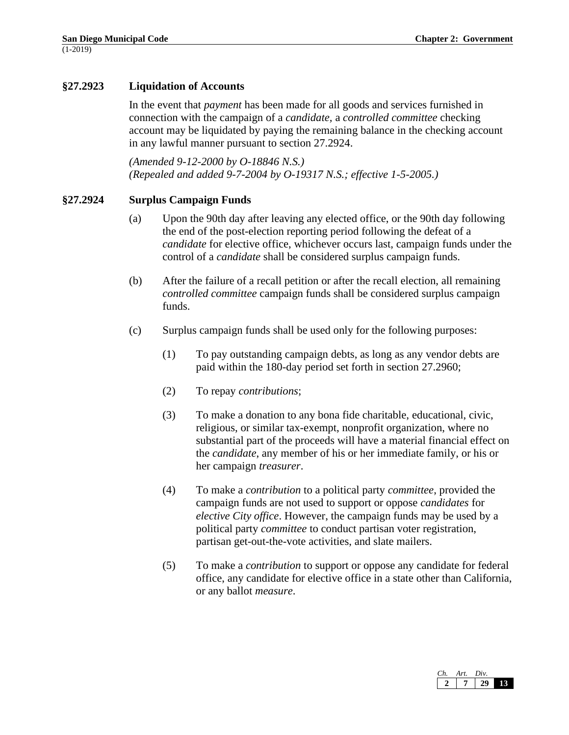# **§27.2923 Liquidation of Accounts**

In the event that *payment* has been made for all goods and services furnished in connection with the campaign of a *candidate,* a *controlled committee* checking account may be liquidated by paying the remaining balance in the checking account in any lawful manner pursuant to section 27.2924.

*(Amended 9-12-2000 by O-18846 N.S.) (Repealed and added 9-7-2004 by O-19317 N.S.; effective 1-5-2005.)*

## **§27.2924 Surplus Campaign Funds**

- (a) Upon the 90th day after leaving any elected office, or the 90th day following the end of the post-election reporting period following the defeat of a *candidate* for elective office, whichever occurs last, campaign funds under the control of a *candidate* shall be considered surplus campaign funds.
- (b) After the failure of a recall petition or after the recall election, all remaining *controlled committee* campaign funds shall be considered surplus campaign funds.
- (c) Surplus campaign funds shall be used only for the following purposes:
	- (1) To pay outstanding campaign debts, as long as any vendor debts are paid within the 180-day period set forth in section 27.2960;
	- (2) To repay *contributions*;
	- (3) To make a donation to any bona fide charitable, educational, civic, religious, or similar tax-exempt, nonprofit organization, where no substantial part of the proceeds will have a material financial effect on the *candidate*, any member of his or her immediate family, or his or her campaign *treasurer*.
	- (4) To make a *contribution* to a political party *committee*, provided the campaign funds are not used to support or oppose *candidates* for *elective City office*. However, the campaign funds may be used by a political party *committee* to conduct partisan voter registration, partisan get-out-the-vote activities, and slate mailers.
	- (5) To make a *contribution* to support or oppose any candidate for federal office, any candidate for elective office in a state other than California, or any ballot *measure*.

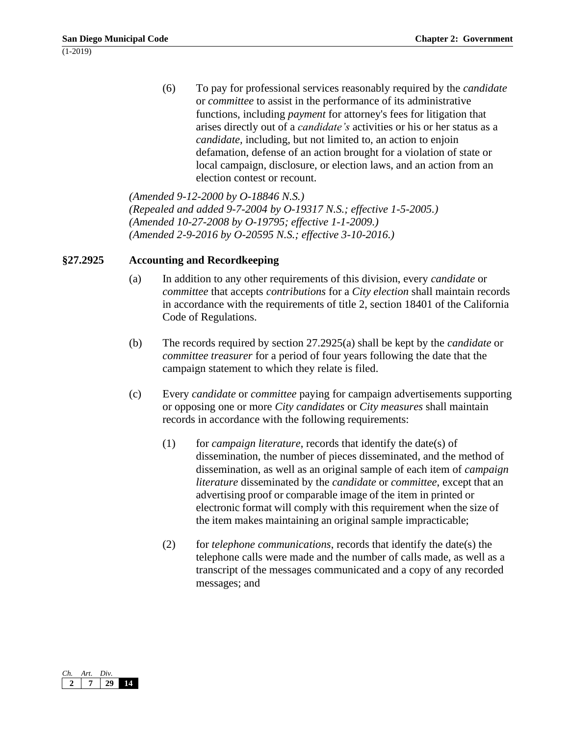(6) To pay for professional services reasonably required by the *candidate* or *committee* to assist in the performance of its administrative functions, including *payment* for attorney's fees for litigation that arises directly out of a *candidate's* activities or his or her status as a *candidate,* including, but not limited to, an action to enjoin defamation, defense of an action brought for a violation of state or local campaign, disclosure, or election laws, and an action from an election contest or recount.

*(Amended 9-12-2000 by O-18846 N.S.) (Repealed and added 9-7-2004 by O-19317 N.S.; effective 1-5-2005.) (Amended 10-27-2008 by O-19795; effective 1-1-2009.) (Amended 2-9-2016 by O-20595 N.S.; effective 3-10-2016.)*

# **§27.2925 Accounting and Recordkeeping**

- (a) In addition to any other requirements of this division, every *candidate* or *committee* that accepts *contributions* for a *City election* shall maintain records in accordance with the requirements of title 2, section 18401 of the California Code of Regulations.
- (b) The records required by section 27.2925(a) shall be kept by the *candidate* or *committee treasurer* for a period of four years following the date that the campaign statement to which they relate is filed.
- (c) Every *candidate* or *committee* paying for campaign advertisements supporting or opposing one or more *City candidates* or *City measures* shall maintain records in accordance with the following requirements:
	- (1) for *campaign literature*, records that identify the date(s) of dissemination, the number of pieces disseminated, and the method of dissemination, as well as an original sample of each item of *campaign literature* disseminated by the *candidate* or *committee*, except that an advertising proof or comparable image of the item in printed or electronic format will comply with this requirement when the size of the item makes maintaining an original sample impracticable;
	- (2) for *telephone communications*, records that identify the date(s) the telephone calls were made and the number of calls made, as well as a transcript of the messages communicated and a copy of any recorded messages; and

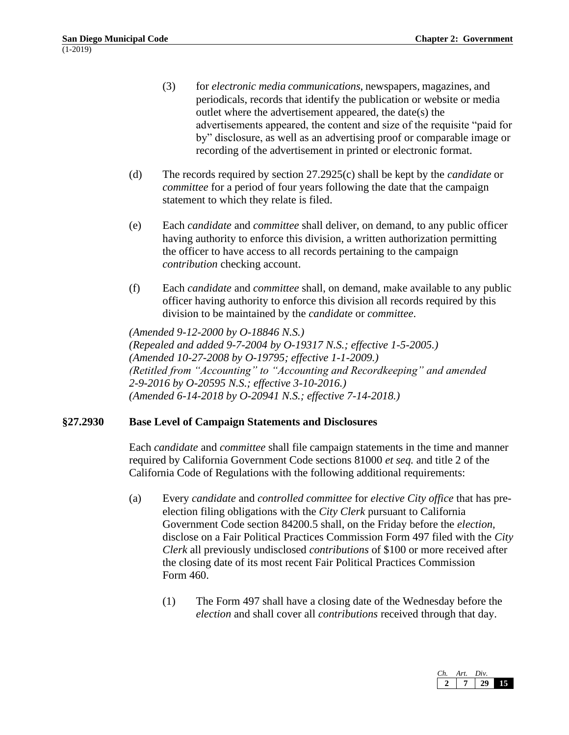- (3) for *electronic media communications*, newspapers, magazines, and periodicals, records that identify the publication or website or media outlet where the advertisement appeared, the date(s) the advertisements appeared, the content and size of the requisite "paid for by" disclosure, as well as an advertising proof or comparable image or recording of the advertisement in printed or electronic format.
- (d) The records required by section 27.2925(c) shall be kept by the *candidate* or *committee* for a period of four years following the date that the campaign statement to which they relate is filed.
- (e) Each *candidate* and *committee* shall deliver, on demand, to any public officer having authority to enforce this division, a written authorization permitting the officer to have access to all records pertaining to the campaign *contribution* checking account.
- (f) Each *candidate* and *committee* shall, on demand, make available to any public officer having authority to enforce this division all records required by this division to be maintained by the *candidate* or *committee*.

*(Amended 9-12-2000 by O-18846 N.S.) (Repealed and added 9-7-2004 by O-19317 N.S.; effective 1-5-2005.) (Amended 10-27-2008 by O-19795; effective 1-1-2009.) (Retitled from "Accounting" to "Accounting and Recordkeeping" and amended 2-9-2016 by O-20595 N.S.; effective 3-10-2016.) (Amended 6-14-2018 by O-20941 N.S.; effective 7-14-2018.)*

# **§27.2930 Base Level of Campaign Statements and Disclosures**

Each *candidate* and *committee* shall file campaign statements in the time and manner required by California Government Code sections 81000 *et seq.* and title 2 of the California Code of Regulations with the following additional requirements:

- (a) Every *candidate* and *controlled committee* for *elective City office* that has preelection filing obligations with the *City Clerk* pursuant to California Government Code section 84200.5 shall, on the Friday before the *election,*  disclose on a Fair Political Practices Commission Form 497 filed with the *City Clerk* all previously undisclosed *contributions* of \$100 or more received after the closing date of its most recent Fair Political Practices Commission Form 460.
	- (1) The Form 497 shall have a closing date of the Wednesday before the *election* and shall cover all *contributions* received through that day.

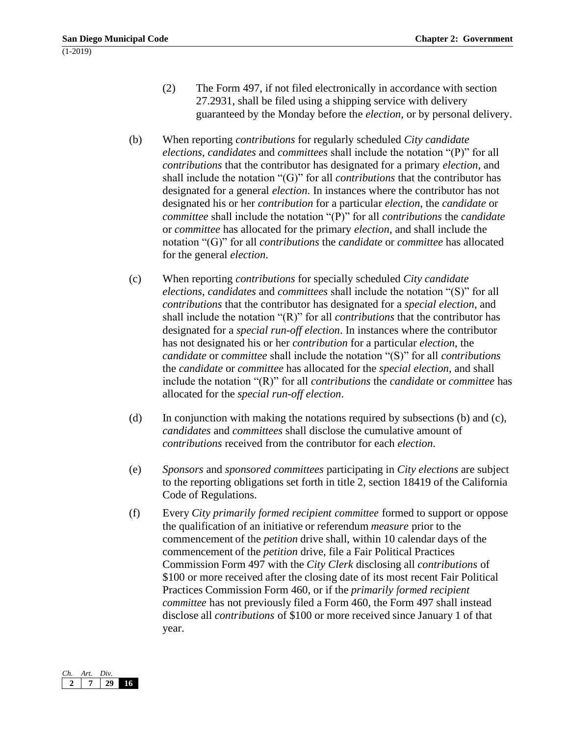- (2) The Form 497, if not filed electronically in accordance with section 27.2931, shall be filed using a shipping service with delivery guaranteed by the Monday before the *election*, or by personal delivery.
- (b) When reporting *contributions* for regularly scheduled *City candidate elections*, *candidates* and *committees* shall include the notation "(P)" for all *contributions* that the contributor has designated for a primary *election*, and shall include the notation "(G)" for all *contributions* that the contributor has designated for a general *election*. In instances where the contributor has not designated his or her *contribution* for a particular *election*, the *candidate* or *committee* shall include the notation "(P)" for all *contributions* the *candidate*  or *committee* has allocated for the primary *election*, and shall include the notation "(G)" for all *contributions* the *candidate* or *committee* has allocated for the general *election*.
- (c) When reporting *contributions* for specially scheduled *City candidate elections*, *candidates* and *committees* shall include the notation "(S)" for all *contributions* that the contributor has designated for a *special election*, and shall include the notation "(R)" for all *contributions* that the contributor has designated for a *special run-off election*. In instances where the contributor has not designated his or her *contribution* for a particular *election*, the *candidate* or *committee* shall include the notation "(S)" for all *contributions*  the *candidate* or *committee* has allocated for the *special election*, and shall include the notation "(R)" for all *contributions* the *candidate* or *committee* has allocated for the *special run-off election*.
- (d) In conjunction with making the notations required by subsections (b) and (c), *candidates* and *committees* shall disclose the cumulative amount of *contributions* received from the contributor for each *election*.
- (e) *Sponsors* and *sponsored committees* participating in *City elections* are subject to the reporting obligations set forth in title 2, section 18419 of the California Code of Regulations.
- (f) Every *City primarily formed recipient committee* formed to support or oppose the qualification of an initiative or referendum *measure* prior to the commencement of the *petition* drive shall, within 10 calendar days of the commencement of the *petition* drive, file a Fair Political Practices Commission Form 497 with the *City Clerk* disclosing all *contributions* of \$100 or more received after the closing date of its most recent Fair Political Practices Commission Form 460, or if the *primarily formed recipient committee* has not previously filed a Form 460, the Form 497 shall instead disclose all *contributions* of \$100 or more received since January 1 of that year.

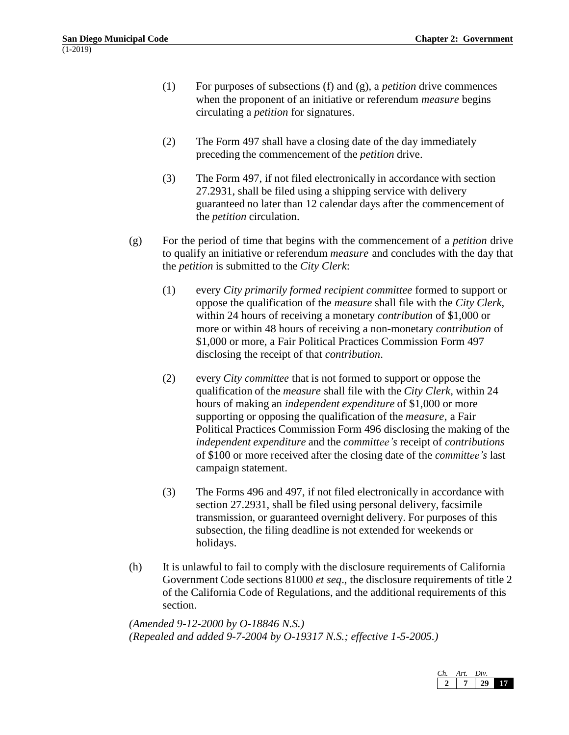- (1) For purposes of subsections (f) and (g), a *petition* drive commences when the proponent of an initiative or referendum *measure* begins circulating a *petition* for signatures.
- (2) The Form 497 shall have a closing date of the day immediately preceding the commencement of the *petition* drive.
- (3) The Form 497, if not filed electronically in accordance with section 27.2931, shall be filed using a shipping service with delivery guaranteed no later than 12 calendar days after the commencement of the *petition* circulation.
- (g) For the period of time that begins with the commencement of a *petition* drive to qualify an initiative or referendum *measure* and concludes with the day that the *petition* is submitted to the *City Clerk*:
	- (1) every *City primarily formed recipient committee* formed to support or oppose the qualification of the *measure* shall file with the *City Clerk*, within 24 hours of receiving a monetary *contribution* of \$1,000 or more or within 48 hours of receiving a non-monetary *contribution* of \$1,000 or more, a Fair Political Practices Commission Form 497 disclosing the receipt of that *contribution*.
	- (2) every *City committee* that is not formed to support or oppose the qualification of the *measure* shall file with the *City Clerk,* within 24 hours of making an *independent expenditure* of \$1,000 or more supporting or opposing the qualification of the *measure*, a Fair Political Practices Commission Form 496 disclosing the making of the *independent expenditure* and the *committee's* receipt of *contributions* of \$100 or more received after the closing date of the *committee's* last campaign statement.
	- (3) The Forms 496 and 497, if not filed electronically in accordance with section 27.2931, shall be filed using personal delivery, facsimile transmission, or guaranteed overnight delivery. For purposes of this subsection, the filing deadline is not extended for weekends or holidays.
- (h) It is unlawful to fail to comply with the disclosure requirements of California Government Code sections 81000 *et seq*., the disclosure requirements of title 2 of the California Code of Regulations, and the additional requirements of this section.

*(Amended 9-12-2000 by O-18846 N.S.) (Repealed and added 9-7-2004 by O-19317 N.S.; effective 1-5-2005.)*

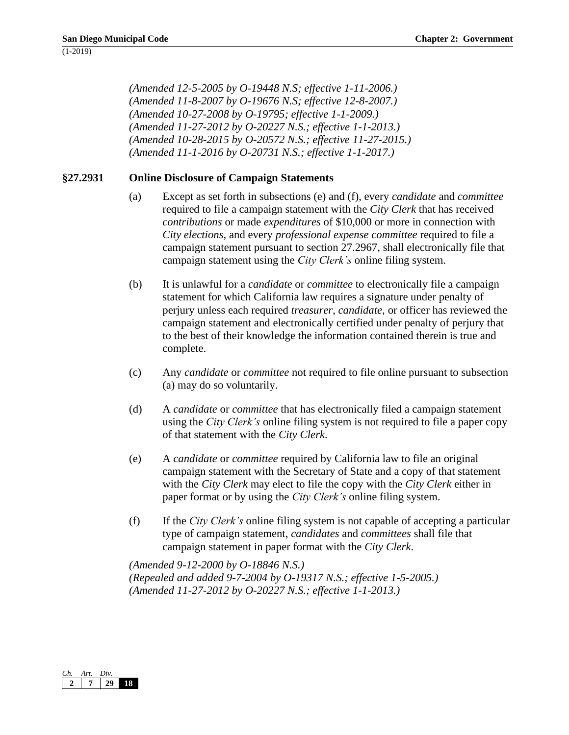*(Amended 12-5-2005 by O-19448 N.S; effective 1-11-2006.) (Amended 11-8-2007 by O-19676 N.S; effective 12-8-2007.) (Amended 10-27-2008 by O-19795; effective 1-1-2009.) (Amended 11-27-2012 by O-20227 N.S.; effective 1-1-2013.) (Amended 10-28-2015 by O-20572 N.S.; effective 11-27-2015.) (Amended 11-1-2016 by O-20731 N.S.; effective 1-1-2017.)*

# **§27.2931 Online Disclosure of Campaign Statements**

- (a) Except as set forth in subsections (e) and (f), every *candidate* and *committee* required to file a campaign statement with the *City Clerk* that has received *contributions* or made *expenditures* of \$10,000 or more in connection with *City elections,* and every *professional expense committee* required to file a campaign statement pursuant to section 27.2967, shall electronically file that campaign statement using the *City Clerk's* online filing system.
- (b) It is unlawful for a *candidate* or *committee* to electronically file a campaign statement for which California law requires a signature under penalty of perjury unless each required *treasurer*, *candidate*, or officer has reviewed the campaign statement and electronically certified under penalty of perjury that to the best of their knowledge the information contained therein is true and complete.
- (c) Any *candidate* or *committee* not required to file online pursuant to subsection (a) may do so voluntarily.
- (d) A *candidate* or *committee* that has electronically filed a campaign statement using the *City Clerk's* online filing system is not required to file a paper copy of that statement with the *City Clerk*.
- (e) A *candidate* or *committee* required by California law to file an original campaign statement with the Secretary of State and a copy of that statement with the *City Clerk* may elect to file the copy with the *City Clerk* either in paper format or by using the *City Clerk's* online filing system.
- (f) If the *City Clerk's* online filing system is not capable of accepting a particular type of campaign statement, *candidates* and *committees* shall file that campaign statement in paper format with the *City Clerk*.

*(Amended 9-12-2000 by O-18846 N.S.) (Repealed and added 9-7-2004 by O-19317 N.S.; effective 1-5-2005.) (Amended 11-27-2012 by O-20227 N.S.; effective 1-1-2013.)*

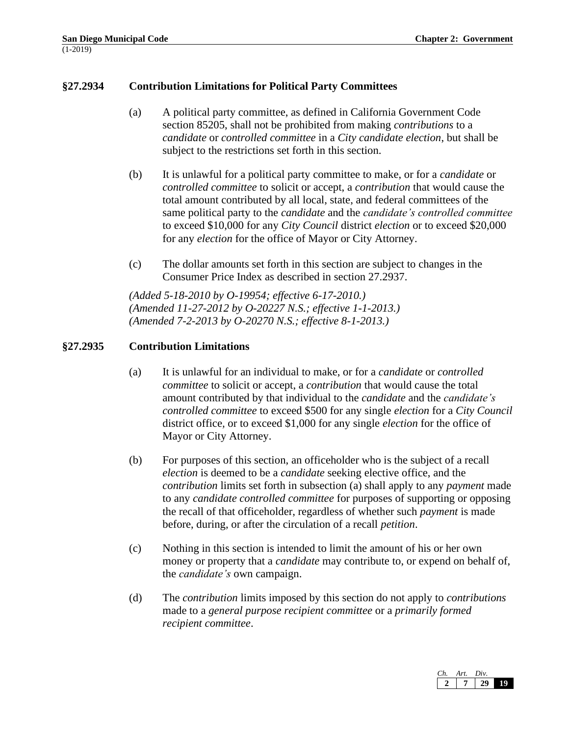# **§27.2934 Contribution Limitations for Political Party Committees**

- (a) A political party committee, as defined in California Government Code section 85205, shall not be prohibited from making *contributions* to a *candidate* or *controlled committee* in a *City candidate election*, but shall be subject to the restrictions set forth in this section.
- (b) It is unlawful for a political party committee to make, or for a *candidate* or *controlled committee* to solicit or accept, a *contribution* that would cause the total amount contributed by all local, state, and federal committees of the same political party to the *candidate* and the *candidate's controlled committee* to exceed \$10,000 for any *City Council* district *election* or to exceed \$20,000 for any *election* for the office of Mayor or City Attorney.
- (c) The dollar amounts set forth in this section are subject to changes in the Consumer Price Index as described in section 27.2937.

*(Added 5-18-2010 by O-19954; effective 6-17-2010.) (Amended 11-27-2012 by O-20227 N.S.; effective 1-1-2013.) (Amended 7-2-2013 by O-20270 N.S.; effective 8-1-2013.)*

## **§27.2935 Contribution Limitations**

- (a) It is unlawful for an individual to make, or for a *candidate* or *controlled committee* to solicit or accept, a *contribution* that would cause the total amount contributed by that individual to the *candidate* and the *candidate's controlled committee* to exceed \$500 for any single *election* for a *City Council*  district office*,* or to exceed \$1,000 for any single *election* for the office of Mayor or City Attorney.
- (b) For purposes of this section, an officeholder who is the subject of a recall *election* is deemed to be a *candidate* seeking elective office, and the *contribution* limits set forth in subsection (a) shall apply to any *payment* made to any *candidate controlled committee* for purposes of supporting or opposing the recall of that officeholder, regardless of whether such *payment* is made before, during, or after the circulation of a recall *petition*.
- (c) Nothing in this section is intended to limit the amount of his or her own money or property that a *candidate* may contribute to, or expend on behalf of, the *candidate's* own campaign.
- (d) The *contribution* limits imposed by this section do not apply to *contributions* made to a *general purpose recipient committee* or a *primarily formed recipient committee*.

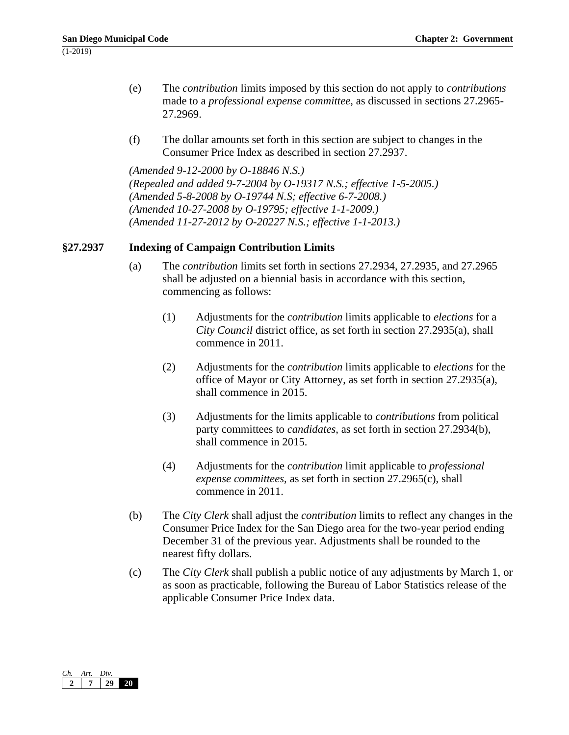- (e) The *contribution* limits imposed by this section do not apply to *contributions* made to a *professional expense committee*, as discussed in sections 27.2965- 27.2969.
- (f) The dollar amounts set forth in this section are subject to changes in the Consumer Price Index as described in section 27.2937.

*(Amended 9-12-2000 by O-18846 N.S.) (Repealed and added 9-7-2004 by O-19317 N.S.; effective 1-5-2005.) (Amended 5-8-2008 by O-19744 N.S; effective 6-7-2008.) (Amended 10-27-2008 by O-19795; effective 1-1-2009.) (Amended 11-27-2012 by O-20227 N.S.; effective 1-1-2013.)*

# **§27.2937 Indexing of Campaign Contribution Limits**

- (a) The *contribution* limits set forth in sections 27.2934, 27.2935, and 27.2965 shall be adjusted on a biennial basis in accordance with this section, commencing as follows:
	- (1) Adjustments for the *contribution* limits applicable to *elections* for a *City Council* district office, as set forth in section 27.2935(a), shall commence in 2011.
	- (2) Adjustments for the *contribution* limits applicable to *elections* for the office of Mayor or City Attorney, as set forth in section 27.2935(a), shall commence in 2015.
	- (3) Adjustments for the limits applicable to *contributions* from political party committees to *candidates*, as set forth in section 27.2934(b), shall commence in 2015.
	- (4) Adjustments for the *contribution* limit applicable to *professional expense committees,* as set forth in section 27.2965(c), shall commence in 2011.
- (b) The *City Clerk* shall adjust the *contribution* limits to reflect any changes in the Consumer Price Index for the San Diego area for the two-year period ending December 31 of the previous year. Adjustments shall be rounded to the nearest fifty dollars.
- (c) The *City Clerk* shall publish a public notice of any adjustments by March 1, or as soon as practicable, following the Bureau of Labor Statistics release of the applicable Consumer Price Index data.

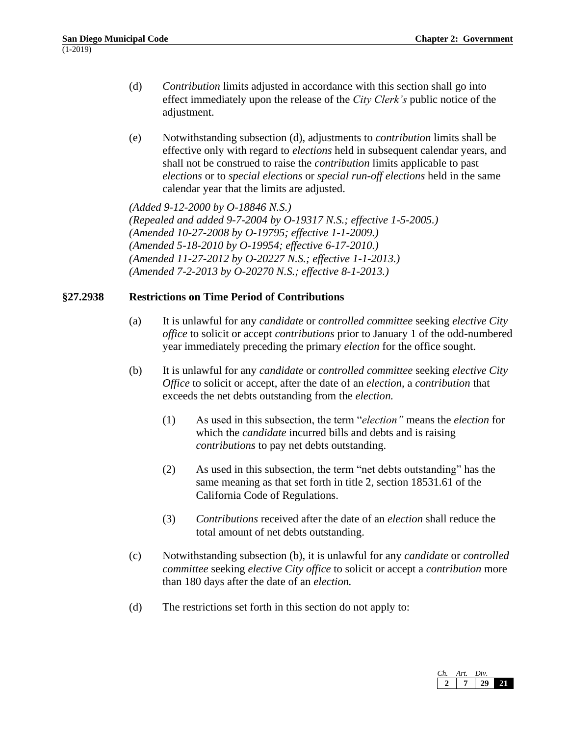- (d) *Contribution* limits adjusted in accordance with this section shall go into effect immediately upon the release of the *City Clerk's* public notice of the adjustment.
- (e) Notwithstanding subsection (d), adjustments to *contribution* limits shall be effective only with regard to *elections* held in subsequent calendar years, and shall not be construed to raise the *contribution* limits applicable to past *elections* or to *special elections* or *special run-off elections* held in the same calendar year that the limits are adjusted.

*(Added 9-12-2000 by O-18846 N.S.) (Repealed and added 9-7-2004 by O-19317 N.S.; effective 1-5-2005.) (Amended 10-27-2008 by O-19795; effective 1-1-2009.) (Amended 5-18-2010 by O-19954; effective 6-17-2010.) (Amended 11-27-2012 by O-20227 N.S.; effective 1-1-2013.) (Amended 7-2-2013 by O-20270 N.S.; effective 8-1-2013.)*

## **§27.2938 Restrictions on Time Period of Contributions**

- (a) It is unlawful for any *candidate* or *controlled committee* seeking *elective City office* to solicit or accept *contributions* prior to January 1 of the odd-numbered year immediately preceding the primary *election* for the office sought.
- (b) It is unlawful for any *candidate* or *controlled committee* seeking *elective City Office* to solicit or accept, after the date of an *election,* a *contribution* that exceeds the net debts outstanding from the *election.*
	- (1) As used in this subsection, the term "*election"* means the *election* for which the *candidate* incurred bills and debts and is raising *contributions* to pay net debts outstanding.
	- (2) As used in this subsection, the term "net debts outstanding" has the same meaning as that set forth in title 2, section 18531.61 of the California Code of Regulations.
	- (3) *Contributions* received after the date of an *election* shall reduce the total amount of net debts outstanding.
- (c) Notwithstanding subsection (b), it is unlawful for any *candidate* or *controlled committee* seeking *elective City office* to solicit or accept a *contribution* more than 180 days after the date of an *election.*
- (d) The restrictions set forth in this section do not apply to:

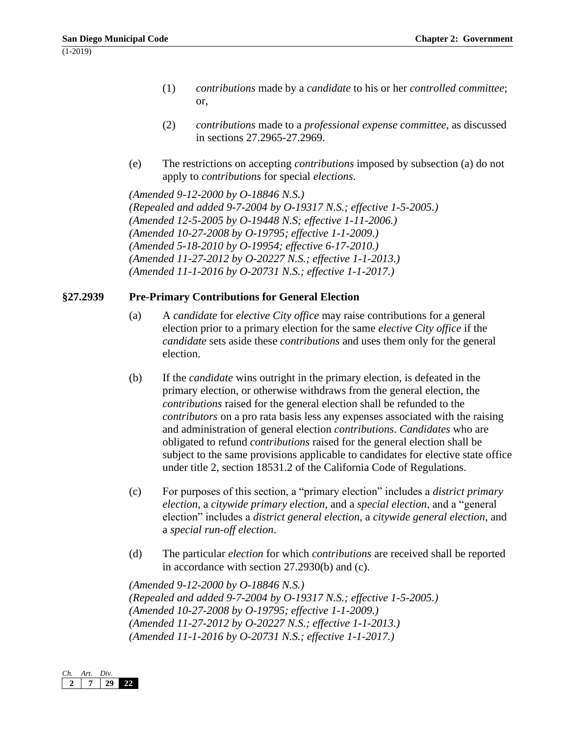- (1) *contributions* made by a *candidate* to his or her *controlled committee*; or,
- (2) *contributions* made to a *professional expense committee*, as discussed in sections 27.2965-27.2969.
- (e) The restrictions on accepting *contributions* imposed by subsection (a) do not apply to *contributions* for special *elections*.

*(Amended 9-12-2000 by O-18846 N.S.) (Repealed and added 9-7-2004 by O-19317 N.S.; effective 1-5-2005.) (Amended 12-5-2005 by O-19448 N.S; effective 1-11-2006.) (Amended 10-27-2008 by O-19795; effective 1-1-2009.) (Amended 5-18-2010 by O-19954; effective 6-17-2010.) (Amended 11-27-2012 by O-20227 N.S.; effective 1-1-2013.) (Amended 11-1-2016 by O-20731 N.S.; effective 1-1-2017.)*

#### **§27.2939 Pre-Primary Contributions for General Election**

- (a) A *candidate* for *elective City office* may raise contributions for a general election prior to a primary election for the same *elective City office* if the *candidate* sets aside these *contributions* and uses them only for the general election.
- (b) If the *candidate* wins outright in the primary election, is defeated in the primary election, or otherwise withdraws from the general election, the *contributions* raised for the general election shall be refunded to the *contributors* on a pro rata basis less any expenses associated with the raising and administration of general election *contributions*. *Candidates* who are obligated to refund *contributions* raised for the general election shall be subject to the same provisions applicable to candidates for elective state office under title 2, section 18531.2 of the California Code of Regulations.
- (c) For purposes of this section, a "primary election" includes a *district primary election*, a *citywide primary election*, and a *special election*, and a "general election" includes a *district general election*, a *citywide general election*, and a *special run-off election*.
- (d) The particular *election* for which *contributions* are received shall be reported in accordance with section 27.2930(b) and (c).

*(Amended 9-12-2000 by O-18846 N.S.) (Repealed and added 9-7-2004 by O-19317 N.S.; effective 1-5-2005.) (Amended 10-27-2008 by O-19795; effective 1-1-2009.) (Amended 11-27-2012 by O-20227 N.S.; effective 1-1-2013.) (Amended 11-1-2016 by O-20731 N.S.; effective 1-1-2017.)*

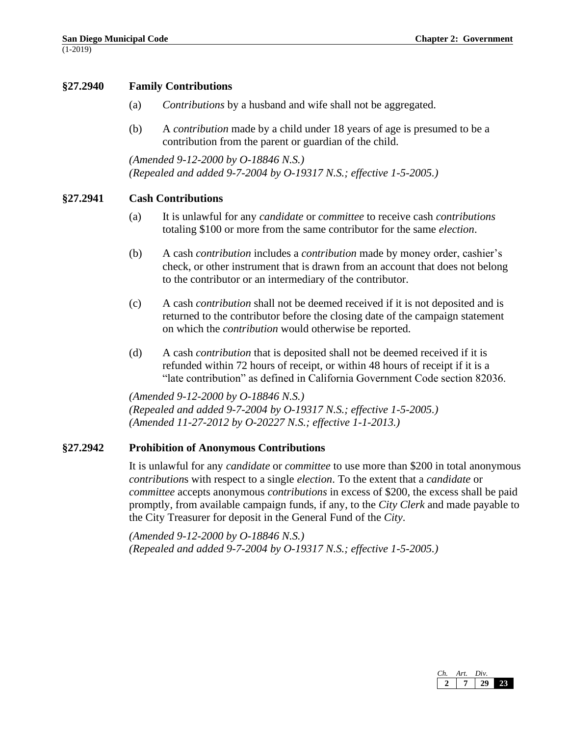## **§27.2940 Family Contributions**

- (a) *Contributions* by a husband and wife shall not be aggregated.
- (b) A *contribution* made by a child under 18 years of age is presumed to be a contribution from the parent or guardian of the child.

*(Amended 9-12-2000 by O-18846 N.S.) (Repealed and added 9-7-2004 by O-19317 N.S.; effective 1-5-2005.)*

#### **§27.2941 Cash Contributions**

- (a) It is unlawful for any *candidate* or *committee* to receive cash *contributions* totaling \$100 or more from the same contributor for the same *election*.
- (b) A cash *contribution* includes a *contribution* made by money order, cashier's check, or other instrument that is drawn from an account that does not belong to the contributor or an intermediary of the contributor.
- (c) A cash *contribution* shall not be deemed received if it is not deposited and is returned to the contributor before the closing date of the campaign statement on which the *contribution* would otherwise be reported.
- (d) A cash *contribution* that is deposited shall not be deemed received if it is refunded within 72 hours of receipt, or within 48 hours of receipt if it is a "late contribution" as defined in California Government Code section 82036.

*(Amended 9-12-2000 by O-18846 N.S.) (Repealed and added 9-7-2004 by O-19317 N.S.; effective 1-5-2005.) (Amended 11-27-2012 by O-20227 N.S.; effective 1-1-2013.)*

## **§27.2942 Prohibition of Anonymous Contributions**

It is unlawful for any *candidate* or *committee* to use more than \$200 in total anonymous *contribution*s with respect to a single *election*. To the extent that a *candidate* or *committee* accepts anonymous *contributions* in excess of \$200, the excess shall be paid promptly, from available campaign funds, if any, to the *City Clerk* and made payable to the City Treasurer for deposit in the General Fund of the *City*.

*(Amended 9-12-2000 by O-18846 N.S.) (Repealed and added 9-7-2004 by O-19317 N.S.; effective 1-5-2005.)*

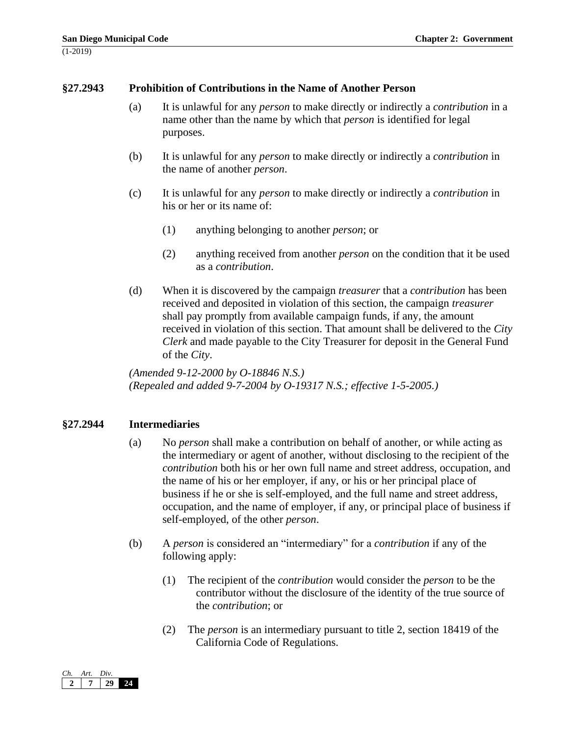## **§27.2943 Prohibition of Contributions in the Name of Another Person**

- (a) It is unlawful for any *person* to make directly or indirectly a *contribution* in a name other than the name by which that *person* is identified for legal purposes.
- (b) It is unlawful for any *person* to make directly or indirectly a *contribution* in the name of another *person*.
- (c) It is unlawful for any *person* to make directly or indirectly a *contribution* in his or her or its name of:
	- (1) anything belonging to another *person*; or
	- (2) anything received from another *person* on the condition that it be used as a *contribution*.
- (d) When it is discovered by the campaign *treasurer* that a *contribution* has been received and deposited in violation of this section, the campaign *treasurer*  shall pay promptly from available campaign funds, if any, the amount received in violation of this section. That amount shall be delivered to the *City Clerk* and made payable to the City Treasurer for deposit in the General Fund of the *City*.

*(Amended 9-12-2000 by O-18846 N.S.) (Repealed and added 9-7-2004 by O-19317 N.S.; effective 1-5-2005.)*

## **§27.2944 Intermediaries**

- (a) No *person* shall make a contribution on behalf of another, or while acting as the intermediary or agent of another, without disclosing to the recipient of the *contribution* both his or her own full name and street address, occupation, and the name of his or her employer, if any, or his or her principal place of business if he or she is self-employed, and the full name and street address, occupation, and the name of employer, if any, or principal place of business if self-employed, of the other *person*.
- (b) A *person* is considered an "intermediary" for a *contribution* if any of the following apply:
	- (1) The recipient of the *contribution* would consider the *person* to be the contributor without the disclosure of the identity of the true source of the *contribution*; or
	- (2) The *person* is an intermediary pursuant to title 2, section 18419 of the California Code of Regulations.

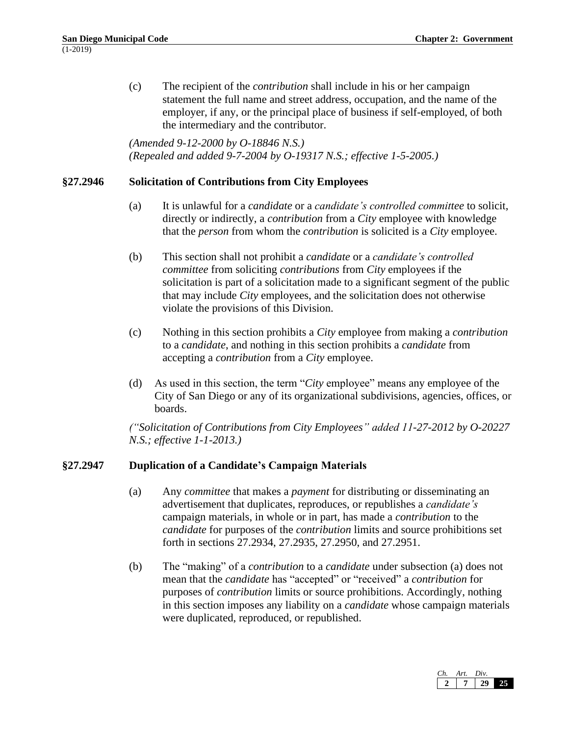(c) The recipient of the *contribution* shall include in his or her campaign statement the full name and street address, occupation, and the name of the employer, if any, or the principal place of business if self-employed, of both the intermediary and the contributor.

*(Amended 9-12-2000 by O-18846 N.S.) (Repealed and added 9-7-2004 by O-19317 N.S.; effective 1-5-2005.)*

# **§27.2946 Solicitation of Contributions from City Employees**

- (a) It is unlawful for a *candidate* or a *candidate's controlled committee* to solicit, directly or indirectly, a *contribution* from a *City* employee with knowledge that the *person* from whom the *contribution* is solicited is a *City* employee.
- (b) This section shall not prohibit a *candidate* or a *candidate's controlled committee* from soliciting *contributions* from *City* employees if the solicitation is part of a solicitation made to a significant segment of the public that may include *City* employees, and the solicitation does not otherwise violate the provisions of this Division.
- (c) Nothing in this section prohibits a *City* employee from making a *contribution* to a *candidate*, and nothing in this section prohibits a *candidate* from accepting a *contribution* from a *City* employee.
- (d) As used in this section, the term "*City* employee" means any employee of the City of San Diego or any of its organizational subdivisions, agencies, offices, or boards.

*("Solicitation of Contributions from City Employees" added 11-27-2012 by O-20227 N.S.; effective 1-1-2013.)*

# **§27.2947 Duplication of a Candidate's Campaign Materials**

- (a) Any *committee* that makes a *payment* for distributing or disseminating an advertisement that duplicates, reproduces, or republishes a *candidate's* campaign materials, in whole or in part, has made a *contribution* to the *candidate* for purposes of the *contribution* limits and source prohibitions set forth in sections 27.2934, 27.2935, 27.2950, and 27.2951.
- (b) The "making" of a *contribution* to a *candidate* under subsection (a) does not mean that the *candidate* has "accepted" or "received" a *contribution* for purposes of *contribution* limits or source prohibitions. Accordingly, nothing in this section imposes any liability on a *candidate* whose campaign materials were duplicated, reproduced, or republished.

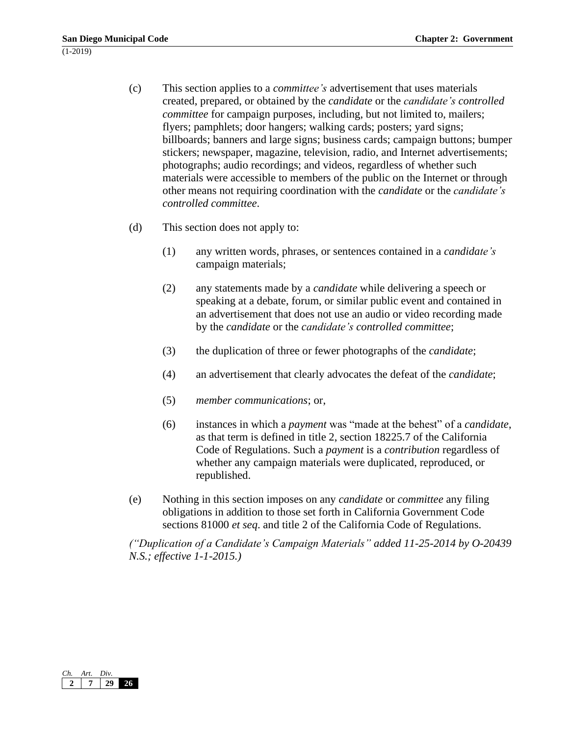- (c) This section applies to a *committee's* advertisement that uses materials created, prepared, or obtained by the *candidate* or the *candidate's controlled committee* for campaign purposes, including, but not limited to, mailers; flyers; pamphlets; door hangers; walking cards; posters; yard signs; billboards; banners and large signs; business cards; campaign buttons; bumper stickers; newspaper, magazine, television, radio, and Internet advertisements; photographs; audio recordings; and videos, regardless of whether such materials were accessible to members of the public on the Internet or through other means not requiring coordination with the *candidate* or the *candidate's controlled committee*.
- (d) This section does not apply to:
	- (1) any written words, phrases, or sentences contained in a *candidate's* campaign materials;
	- (2) any statements made by a *candidate* while delivering a speech or speaking at a debate, forum, or similar public event and contained in an advertisement that does not use an audio or video recording made by the *candidate* or the *candidate's controlled committee*;
	- (3) the duplication of three or fewer photographs of the *candidate*;
	- (4) an advertisement that clearly advocates the defeat of the *candidate*;
	- (5) *member communications*; or,
	- (6) instances in which a *payment* was "made at the behest" of a *candidate*, as that term is defined in title 2, section 18225.7 of the California Code of Regulations. Such a *payment* is a *contribution* regardless of whether any campaign materials were duplicated, reproduced, or republished.
- (e) Nothing in this section imposes on any *candidate* or *committee* any filing obligations in addition to those set forth in California Government Code sections 81000 *et seq*. and title 2 of the California Code of Regulations.

*("Duplication of a Candidate's Campaign Materials" added 11-25-2014 by O-20439 N.S.; effective 1-1-2015.)*

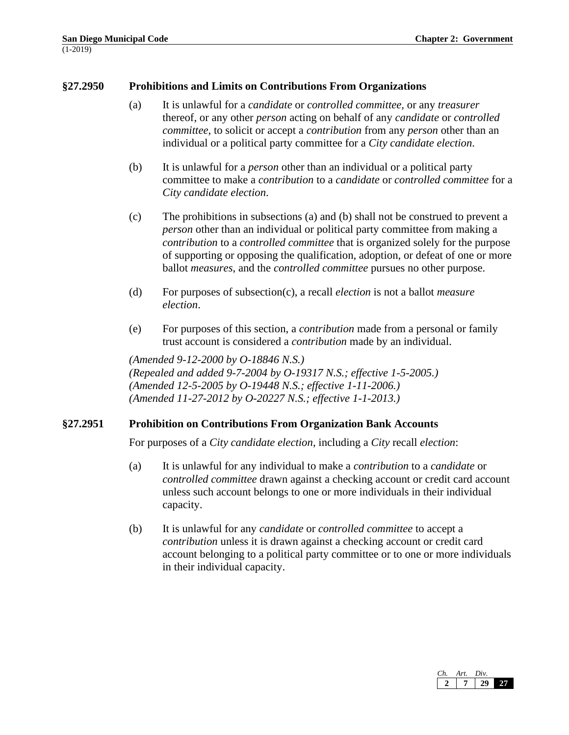#### **§27.2950 Prohibitions and Limits on Contributions From Organizations**

- (a) It is unlawful for a *candidate* or *controlled committee,* or any *treasurer*  thereof, or any other *person* acting on behalf of any *candidate* or *controlled committee*, to solicit or accept a *contribution* from any *person* other than an individual or a political party committee for a *City candidate election*.
- (b) It is unlawful for a *person* other than an individual or a political party committee to make a *contribution* to a *candidate* or *controlled committee* for a *City candidate election*.
- (c) The prohibitions in subsections (a) and (b) shall not be construed to prevent a *person* other than an individual or political party committee from making a *contribution* to a *controlled committee* that is organized solely for the purpose of supporting or opposing the qualification, adoption, or defeat of one or more ballot *measures*, and the *controlled committee* pursues no other purpose.
- (d) For purposes of subsection(c), a recall *election* is not a ballot *measure election*.
- (e) For purposes of this section, a *contribution* made from a personal or family trust account is considered a *contribution* made by an individual.

*(Amended 9-12-2000 by O-18846 N.S.) (Repealed and added 9-7-2004 by O-19317 N.S.; effective 1-5-2005.) (Amended 12-5-2005 by O-19448 N.S.; effective 1-11-2006.) (Amended 11-27-2012 by O-20227 N.S.; effective 1-1-2013.)*

#### **§27.2951 Prohibition on Contributions From Organization Bank Accounts**

For purposes of a *City candidate election*, including a *City* recall *election*:

- (a) It is unlawful for any individual to make a *contribution* to a *candidate* or *controlled committee* drawn against a checking account or credit card account unless such account belongs to one or more individuals in their individual capacity.
- (b) It is unlawful for any *candidate* or *controlled committee* to accept a *contribution* unless it is drawn against a checking account or credit card account belonging to a political party committee or to one or more individuals in their individual capacity.

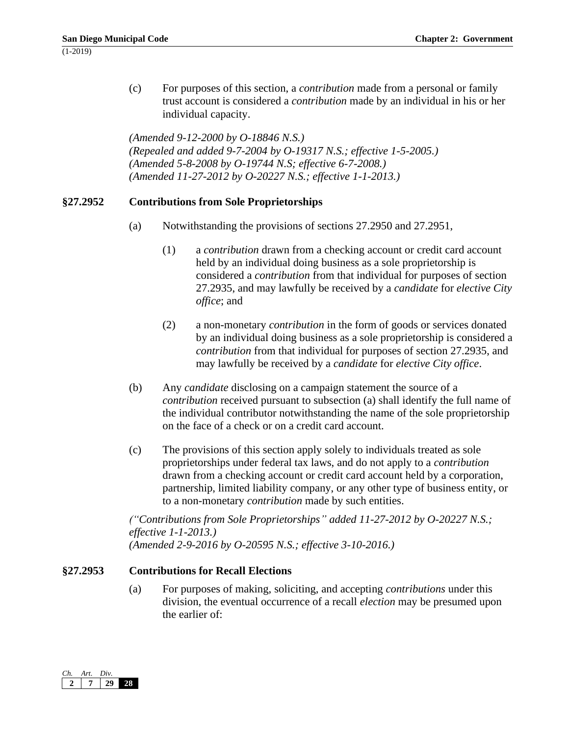(c) For purposes of this section, a *contribution* made from a personal or family trust account is considered a *contribution* made by an individual in his or her individual capacity.

*(Amended 9-12-2000 by O-18846 N.S.) (Repealed and added 9-7-2004 by O-19317 N.S.; effective 1-5-2005.) (Amended 5-8-2008 by O-19744 N.S; effective 6-7-2008.) (Amended 11-27-2012 by O-20227 N.S.; effective 1-1-2013.)*

# **§27.2952 Contributions from Sole Proprietorships**

- (a) Notwithstanding the provisions of sections 27.2950 and 27.2951,
	- (1) a *contribution* drawn from a checking account or credit card account held by an individual doing business as a sole proprietorship is considered a *contribution* from that individual for purposes of section 27.2935, and may lawfully be received by a *candidate* for *elective City office*; and
	- (2) a non-monetary *contribution* in the form of goods or services donated by an individual doing business as a sole proprietorship is considered a *contribution* from that individual for purposes of section 27.2935, and may lawfully be received by a *candidate* for *elective City office*.
- (b) Any *candidate* disclosing on a campaign statement the source of a *contribution* received pursuant to subsection (a) shall identify the full name of the individual contributor notwithstanding the name of the sole proprietorship on the face of a check or on a credit card account.
- (c) The provisions of this section apply solely to individuals treated as sole proprietorships under federal tax laws, and do not apply to a *contribution*  drawn from a checking account or credit card account held by a corporation, partnership, limited liability company, or any other type of business entity, or to a non-monetary *contribution* made by such entities.

*("Contributions from Sole Proprietorships" added 11-27-2012 by O-20227 N.S.; effective 1-1-2013.) (Amended 2-9-2016 by O-20595 N.S.; effective 3-10-2016.)*

## **§27.2953 Contributions for Recall Elections**

(a) For purposes of making, soliciting, and accepting *contributions* under this division, the eventual occurrence of a recall *election* may be presumed upon the earlier of:

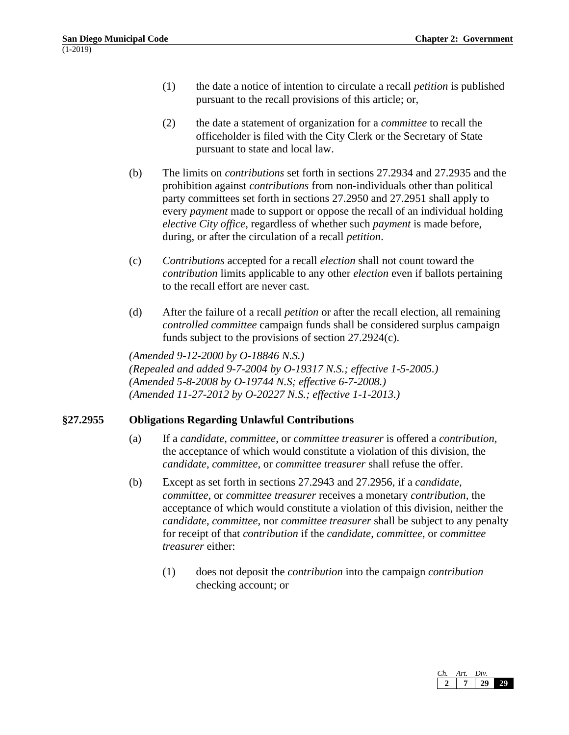- (1) the date a notice of intention to circulate a recall *petition* is published pursuant to the recall provisions of this article; or,
- (2) the date a statement of organization for a *committee* to recall the officeholder is filed with the City Clerk or the Secretary of State pursuant to state and local law.
- (b) The limits on *contributions* set forth in sections 27.2934 and 27.2935 and the prohibition against *contributions* from non-individuals other than political party committees set forth in sections 27.2950 and 27.2951 shall apply to every *payment* made to support or oppose the recall of an individual holding *elective City office*, regardless of whether such *payment* is made before, during, or after the circulation of a recall *petition*.
- (c) *Contributions* accepted for a recall *election* shall not count toward the *contribution* limits applicable to any other *election* even if ballots pertaining to the recall effort are never cast.
- (d) After the failure of a recall *petition* or after the recall election, all remaining *controlled committee* campaign funds shall be considered surplus campaign funds subject to the provisions of section 27.2924(c).

*(Amended 9-12-2000 by O-18846 N.S.) (Repealed and added 9-7-2004 by O-19317 N.S.; effective 1-5-2005.) (Amended 5-8-2008 by O-19744 N.S; effective 6-7-2008.) (Amended 11-27-2012 by O-20227 N.S.; effective 1-1-2013.)*

## **§27.2955 Obligations Regarding Unlawful Contributions**

- (a) If a *candidate*, *committee*, or *committee treasurer* is offered a *contribution,*  the acceptance of which would constitute a violation of this division, the *candidate*, *committee,* or *committee treasurer* shall refuse the offer.
- (b) Except as set forth in sections 27.2943 and 27.2956, if a *candidate*, *committee*, or *committee treasurer* receives a monetary *contribution,* the acceptance of which would constitute a violation of this division, neither the *candidate*, *committee*, nor *committee treasurer* shall be subject to any penalty for receipt of that *contribution* if the *candidate*, *committee*, or *committee treasurer* either:
	- (1) does not deposit the *contribution* into the campaign *contribution*  checking account; or

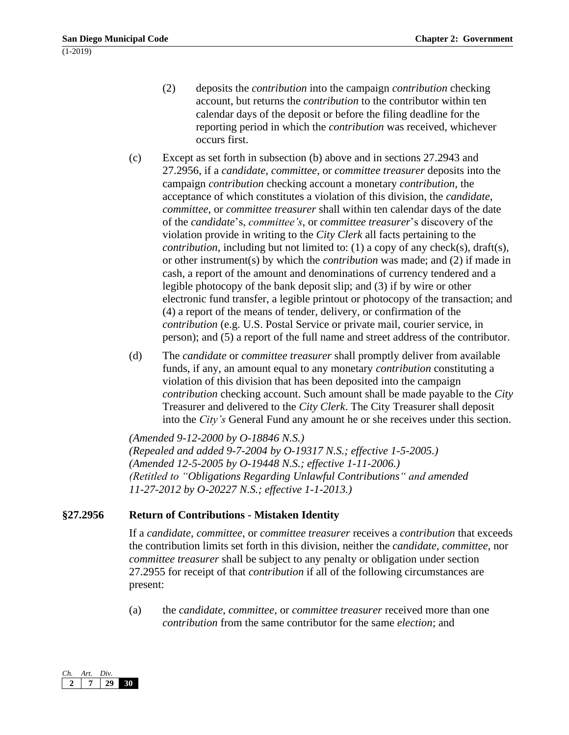- (2) deposits the *contribution* into the campaign *contribution* checking account, but returns the *contribution* to the contributor within ten calendar days of the deposit or before the filing deadline for the reporting period in which the *contribution* was received, whichever occurs first.
- (c) Except as set forth in subsection (b) above and in sections 27.2943 and 27.2956, if a *candidate*, *committee*, or *committee treasurer* deposits into the campaign *contribution* checking account a monetary *contribution,* the acceptance of which constitutes a violation of this division, the *candidate*, *committee*, or *committee treasurer* shall within ten calendar days of the date of the *candidate*'s, *committee's*, or *committee treasurer*'s discovery of the violation provide in writing to the *City Clerk* all facts pertaining to the *contribution*, including but not limited to: (1) a copy of any check(s), draft(s), or other instrument(s) by which the *contribution* was made; and (2) if made in cash, a report of the amount and denominations of currency tendered and a legible photocopy of the bank deposit slip; and (3) if by wire or other electronic fund transfer, a legible printout or photocopy of the transaction; and (4) a report of the means of tender, delivery, or confirmation of the *contribution* (e.g. U.S. Postal Service or private mail, courier service, in person); and (5) a report of the full name and street address of the contributor.
- (d) The *candidate* or *committee treasurer* shall promptly deliver from available funds, if any, an amount equal to any monetary *contribution* constituting a violation of this division that has been deposited into the campaign *contribution* checking account. Such amount shall be made payable to the *City*  Treasurer and delivered to the *City Clerk*. The City Treasurer shall deposit into the *City's* General Fund any amount he or she receives under this section.

*(Amended 9-12-2000 by O-18846 N.S.) (Repealed and added 9-7-2004 by O-19317 N.S.; effective 1-5-2005.) (Amended 12-5-2005 by O-19448 N.S.; effective 1-11-2006.) (Retitled to "Obligations Regarding Unlawful Contributions" and amended 11-27-2012 by O-20227 N.S.; effective 1-1-2013.)*

# **§27.2956 Return of Contributions - Mistaken Identity**

If a *candidate*, *committee*, or *committee treasurer* receives a *contribution* that exceeds the contribution limits set forth in this division, neither the *candidate*, *committee*, nor *committee treasurer* shall be subject to any penalty or obligation under section 27.2955 for receipt of that *contribution* if all of the following circumstances are present:

(a) the *candidate*, *committee*, or *committee treasurer* received more than one *contribution* from the same contributor for the same *election*; and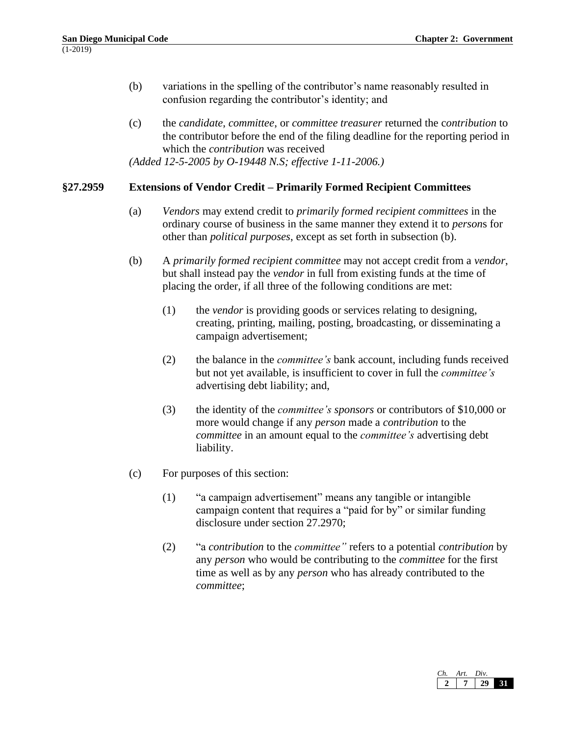- (b) variations in the spelling of the contributor's name reasonably resulted in confusion regarding the contributor's identity; and
- (c) the *candidate*, *committee*, or *committee treasurer* returned the c*ontribution* to the contributor before the end of the filing deadline for the reporting period in which the *contribution* was received *(Added 12-5-2005 by O-19448 N.S; effective 1-11-2006.)*

#### **§27.2959 Extensions of Vendor Credit – Primarily Formed Recipient Committees**

- (a) *Vendors* may extend credit to *primarily formed recipient committees* in the ordinary course of business in the same manner they extend it to *person*s for other than *political purposes*, except as set forth in subsection (b).
- (b) A *primarily formed recipient committee* may not accept credit from a *vendor*, but shall instead pay the *vendor* in full from existing funds at the time of placing the order, if all three of the following conditions are met:
	- (1) the *vendor* is providing goods or services relating to designing, creating, printing, mailing, posting, broadcasting, or disseminating a campaign advertisement;
	- (2) the balance in the *committee's* bank account, including funds received but not yet available, is insufficient to cover in full the *committee's* advertising debt liability; and,
	- (3) the identity of the *committee's sponsors* or contributors of \$10,000 or more would change if any *person* made a *contribution* to the *committee* in an amount equal to the *committee's* advertising debt liability.
- (c) For purposes of this section:
	- (1) "a campaign advertisement" means any tangible or intangible campaign content that requires a "paid for by" or similar funding disclosure under section 27.2970;
	- (2) "a *contribution* to the *committee"* refers to a potential *contribution* by any *person* who would be contributing to the *committee* for the first time as well as by any *person* who has already contributed to the *committee*;

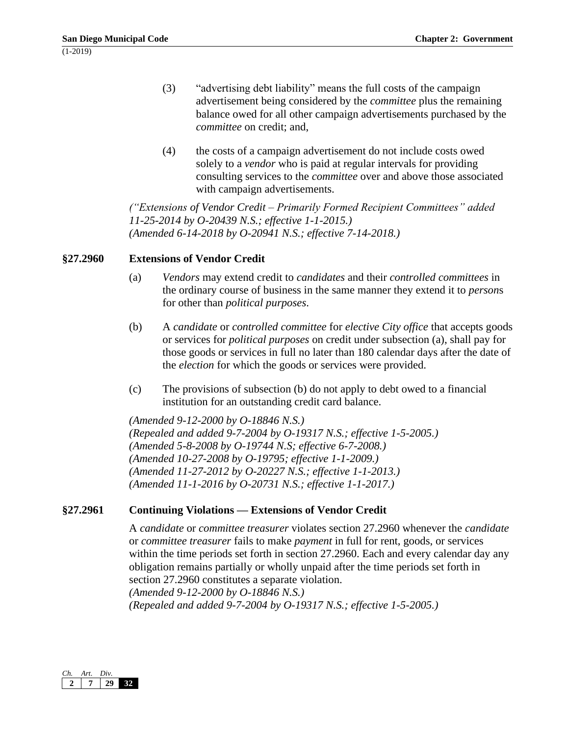- (3) "advertising debt liability" means the full costs of the campaign advertisement being considered by the *committee* plus the remaining balance owed for all other campaign advertisements purchased by the *committee* on credit; and,
- (4) the costs of a campaign advertisement do not include costs owed solely to a *vendor* who is paid at regular intervals for providing consulting services to the *committee* over and above those associated with campaign advertisements.

*("Extensions of Vendor Credit – Primarily Formed Recipient Committees" added 11-25-2014 by O-20439 N.S.; effective 1-1-2015.) (Amended 6-14-2018 by O-20941 N.S.; effective 7-14-2018.)*

## **§27.2960 Extensions of Vendor Credit**

- (a) *Vendors* may extend credit to *candidates* and their *controlled committees* in the ordinary course of business in the same manner they extend it to *person*s for other than *political purposes*.
- (b) A *candidate* or *controlled committee* for *elective City office* that accepts goods or services for *political purposes* on credit under subsection (a), shall pay for those goods or services in full no later than 180 calendar days after the date of the *election* for which the goods or services were provided.
- (c) The provisions of subsection (b) do not apply to debt owed to a financial institution for an outstanding credit card balance.

*(Amended 9-12-2000 by O-18846 N.S.) (Repealed and added 9-7-2004 by O-19317 N.S.; effective 1-5-2005.) (Amended 5-8-2008 by O-19744 N.S; effective 6-7-2008.) (Amended 10-27-2008 by O-19795; effective 1-1-2009.) (Amended 11-27-2012 by O-20227 N.S.; effective 1-1-2013.) (Amended 11-1-2016 by O-20731 N.S.; effective 1-1-2017.)*

# **§27.2961 Continuing Violations — Extensions of Vendor Credit**

A *candidate* or *committee treasurer* violates section 27.2960 whenever the *candidate*  or *committee treasurer* fails to make *payment* in full for rent, goods, or services within the time periods set forth in section 27.2960. Each and every calendar day any obligation remains partially or wholly unpaid after the time periods set forth in section 27.2960 constitutes a separate violation. *(Amended 9-12-2000 by O-18846 N.S.) (Repealed and added 9-7-2004 by O-19317 N.S.; effective 1-5-2005.)*

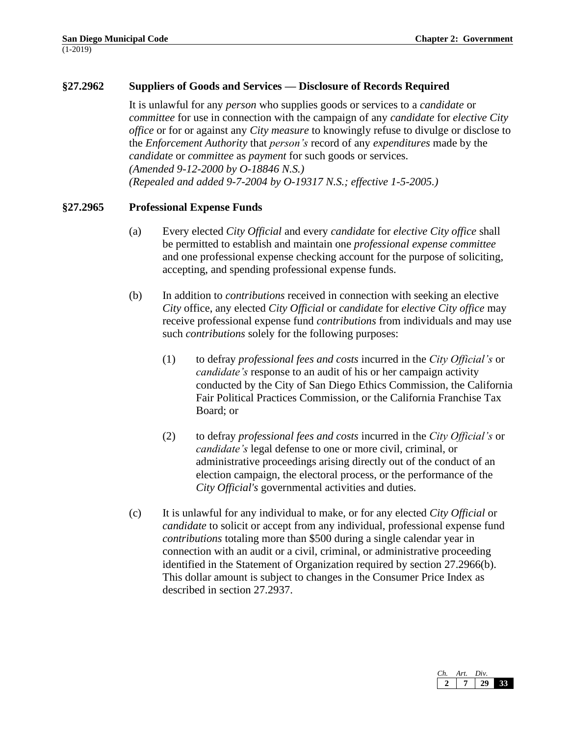# **§27.2962 Suppliers of Goods and Services — Disclosure of Records Required**

It is unlawful for any *person* who supplies goods or services to a *candidate* or *committee* for use in connection with the campaign of any *candidate* for *elective City office* or for or against any *City measure* to knowingly refuse to divulge or disclose to the *Enforcement Authority* that *person's* record of any *expenditures* made by the *candidate* or *committee* as *payment* for such goods or services. *(Amended 9-12-2000 by O-18846 N.S.) (Repealed and added 9-7-2004 by O-19317 N.S.; effective 1-5-2005.)*

#### **§27.2965 Professional Expense Funds**

- (a) Every elected *City Official* and every *candidate* for *elective City office* shall be permitted to establish and maintain one *professional expense committee* and one professional expense checking account for the purpose of soliciting, accepting, and spending professional expense funds.
- (b) In addition to *contributions* received in connection with seeking an elective *City* office, any elected *City Official* or *candidate* for *elective City office* may receive professional expense fund *contributions* from individuals and may use such *contributions* solely for the following purposes:
	- (1) to defray *professional fees and costs* incurred in the *City Official's* or *candidate's* response to an audit of his or her campaign activity conducted by the City of San Diego Ethics Commission, the California Fair Political Practices Commission, or the California Franchise Tax Board; or
	- (2) to defray *professional fees and costs* incurred in the *City Official's* or *candidate's* legal defense to one or more civil, criminal, or administrative proceedings arising directly out of the conduct of an election campaign, the electoral process, or the performance of the *City Official's* governmental activities and duties.
- (c) It is unlawful for any individual to make, or for any elected *City Official* or *candidate* to solicit or accept from any individual, professional expense fund *contributions* totaling more than \$500 during a single calendar year in connection with an audit or a civil, criminal, or administrative proceeding identified in the Statement of Organization required by section 27.2966(b). This dollar amount is subject to changes in the Consumer Price Index as described in section 27.2937.

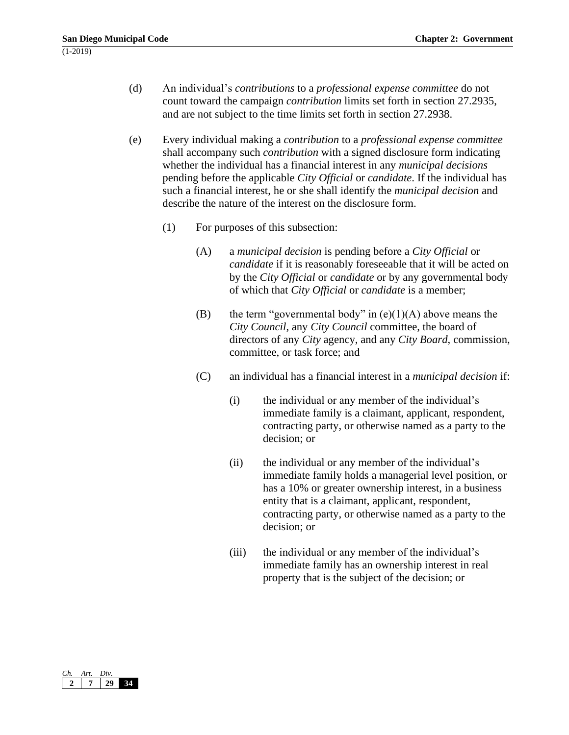- (d) An individual's *contributions* to a *professional expense committee* do not count toward the campaign *contribution* limits set forth in section 27.2935, and are not subject to the time limits set forth in section 27.2938.
- (e) Every individual making a *contribution* to a *professional expense committee*  shall accompany such *contribution* with a signed disclosure form indicating whether the individual has a financial interest in any *municipal decisions* pending before the applicable *City Official* or *candidate*. If the individual has such a financial interest, he or she shall identify the *municipal decision* and describe the nature of the interest on the disclosure form.
	- (1) For purposes of this subsection:
		- (A) a *municipal decision* is pending before a *City Official* or *candidate* if it is reasonably foreseeable that it will be acted on by the *City Official* or *candidate* or by any governmental body of which that *City Official* or *candidate* is a member;
		- (B) the term "governmental body" in  $(e)(1)(A)$  above means the *City Council*, any *City Council* committee, the board of directors of any *City* agency, and any *City Board*, commission, committee, or task force; and
		- (C) an individual has a financial interest in a *municipal decision* if:
			- (i) the individual or any member of the individual's immediate family is a claimant, applicant, respondent, contracting party, or otherwise named as a party to the decision; or
			- (ii) the individual or any member of the individual's immediate family holds a managerial level position, or has a 10% or greater ownership interest, in a business entity that is a claimant, applicant, respondent, contracting party, or otherwise named as a party to the decision; or
			- (iii) the individual or any member of the individual's immediate family has an ownership interest in real property that is the subject of the decision; or

| $\binom{r}{r}$ | Art. | Div. |  |
|----------------|------|------|--|
|                |      |      |  |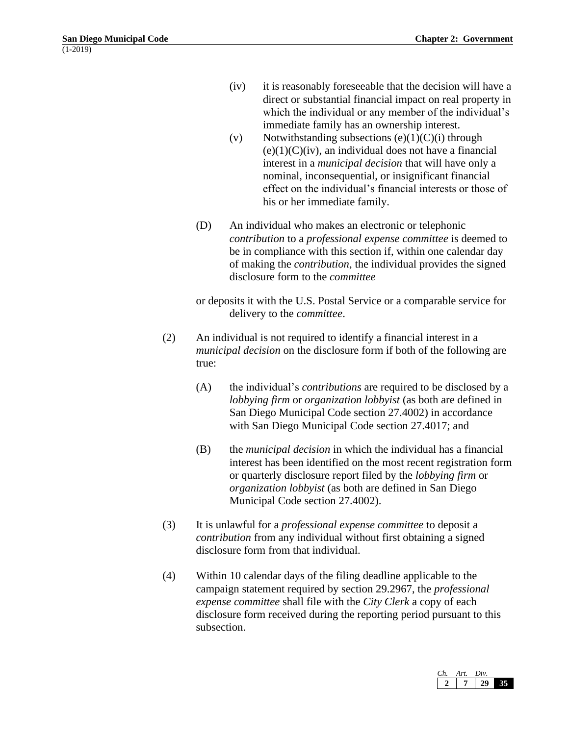- (iv) it is reasonably foreseeable that the decision will have a direct or substantial financial impact on real property in which the individual or any member of the individual's immediate family has an ownership interest.
- (v) Notwithstanding subsections  $(e)(1)(C)(i)$  through  $(e)(1)(C)(iv)$ , an individual does not have a financial interest in a *municipal decision* that will have only a nominal, inconsequential, or insignificant financial effect on the individual's financial interests or those of his or her immediate family.
- (D) An individual who makes an electronic or telephonic *contribution* to a *professional expense committee* is deemed to be in compliance with this section if, within one calendar day of making the *contribution*, the individual provides the signed disclosure form to the *committee*

or deposits it with the U.S. Postal Service or a comparable service for delivery to the *committee*.

- (2) An individual is not required to identify a financial interest in a *municipal decision* on the disclosure form if both of the following are true:
	- (A) the individual's *contributions* are required to be disclosed by a *lobbying firm* or *organization lobbyist* (as both are defined in San Diego Municipal Code section 27.4002) in accordance with San Diego Municipal Code section 27.4017; and
	- (B) the *municipal decision* in which the individual has a financial interest has been identified on the most recent registration form or quarterly disclosure report filed by the *lobbying firm* or *organization lobbyist* (as both are defined in San Diego Municipal Code section 27.4002).
- (3) It is unlawful for a *professional expense committee* to deposit a *contribution* from any individual without first obtaining a signed disclosure form from that individual.
- (4) Within 10 calendar days of the filing deadline applicable to the campaign statement required by section 29.2967, the *professional expense committee* shall file with the *City Clerk* a copy of each disclosure form received during the reporting period pursuant to this subsection.

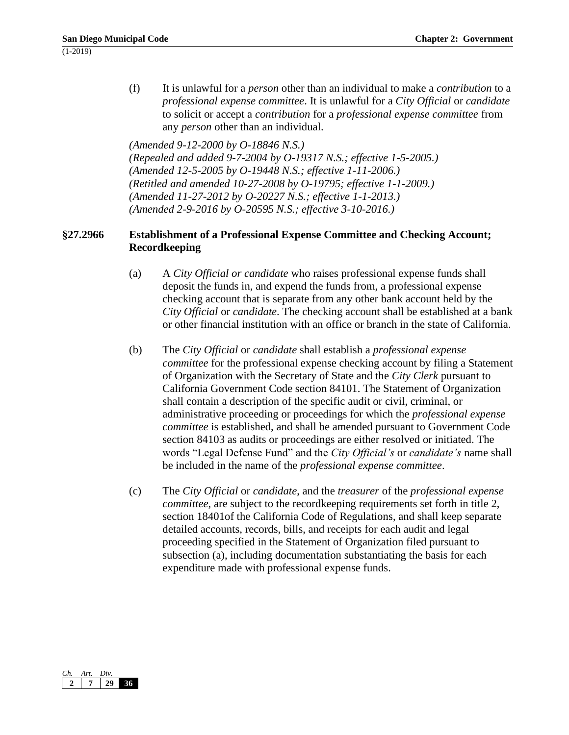(f) It is unlawful for a *person* other than an individual to make a *contribution* to a *professional expense committee*. It is unlawful for a *City Official* or *candidate* to solicit or accept a *contribution* for a *professional expense committee* from any *person* other than an individual.

*(Amended 9-12-2000 by O-18846 N.S.)*

*(Repealed and added 9-7-2004 by O-19317 N.S.; effective 1-5-2005.) (Amended 12-5-2005 by O-19448 N.S.; effective 1-11-2006.) (Retitled and amended 10-27-2008 by O-19795; effective 1-1-2009.) (Amended 11-27-2012 by O-20227 N.S.; effective 1-1-2013.) (Amended 2-9-2016 by O-20595 N.S.; effective 3-10-2016.)*

# **§27.2966 Establishment of a Professional Expense Committee and Checking Account; Recordkeeping**

- (a) A *City Official or candidate* who raises professional expense funds shall deposit the funds in, and expend the funds from, a professional expense checking account that is separate from any other bank account held by the *City Official* or *candidate*. The checking account shall be established at a bank or other financial institution with an office or branch in the state of California.
- (b) The *City Official* or *candidate* shall establish a *professional expense committee* for the professional expense checking account by filing a Statement of Organization with the Secretary of State and the *City Clerk* pursuant to California Government Code section 84101. The Statement of Organization shall contain a description of the specific audit or civil, criminal, or administrative proceeding or proceedings for which the *professional expense committee* is established, and shall be amended pursuant to Government Code section 84103 as audits or proceedings are either resolved or initiated. The words "Legal Defense Fund" and the *City Official's* or *candidate's* name shall be included in the name of the *professional expense committee*.
- (c) The *City Official* or *candidate*, and the *treasurer* of the *professional expense committee*, are subject to the recordkeeping requirements set forth in title 2, section 18401of the California Code of Regulations, and shall keep separate detailed accounts, records, bills, and receipts for each audit and legal proceeding specified in the Statement of Organization filed pursuant to subsection (a), including documentation substantiating the basis for each expenditure made with professional expense funds.

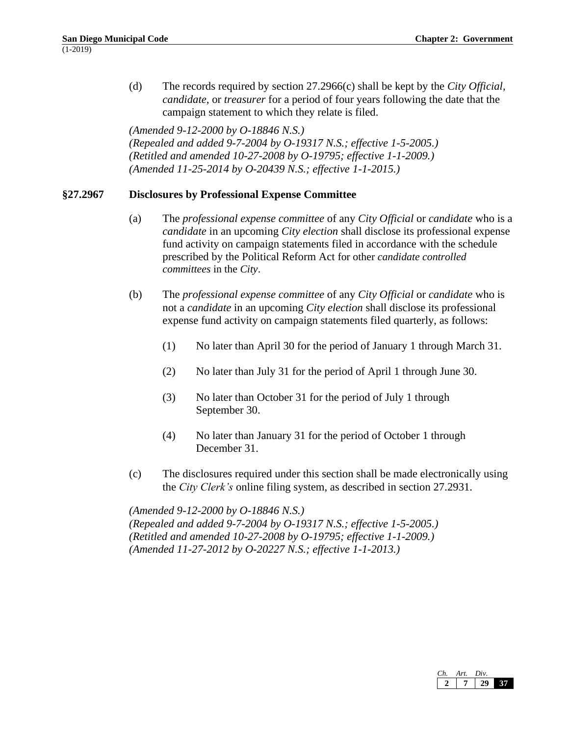(d) The records required by section 27.2966(c) shall be kept by the *City Official, candidate,* or *treasurer* for a period of four years following the date that the campaign statement to which they relate is filed.

*(Amended 9-12-2000 by O-18846 N.S.) (Repealed and added 9-7-2004 by O-19317 N.S.; effective 1-5-2005.) (Retitled and amended 10-27-2008 by O-19795; effective 1-1-2009.) (Amended 11-25-2014 by O-20439 N.S.; effective 1-1-2015.)*

## **§27.2967 Disclosures by Professional Expense Committee**

- (a) The *professional expense committee* of any *City Official* or *candidate* who is a *candidate* in an upcoming *City election* shall disclose its professional expense fund activity on campaign statements filed in accordance with the schedule prescribed by the Political Reform Act for other *candidate controlled committees* in the *City*.
- (b) The *professional expense committee* of any *City Official* or *candidate* who is not a *candidate* in an upcoming *City election* shall disclose its professional expense fund activity on campaign statements filed quarterly, as follows:
	- (1) No later than April 30 for the period of January 1 through March 31.
	- (2) No later than July 31 for the period of April 1 through June 30.
	- (3) No later than October 31 for the period of July 1 through September 30.
	- (4) No later than January 31 for the period of October 1 through December 31.
- (c) The disclosures required under this section shall be made electronically using the *City Clerk's* online filing system, as described in section 27.2931.

*(Amended 9-12-2000 by O-18846 N.S.) (Repealed and added 9-7-2004 by O-19317 N.S.; effective 1-5-2005.) (Retitled and amended 10-27-2008 by O-19795; effective 1-1-2009.) (Amended 11-27-2012 by O-20227 N.S.; effective 1-1-2013.)*

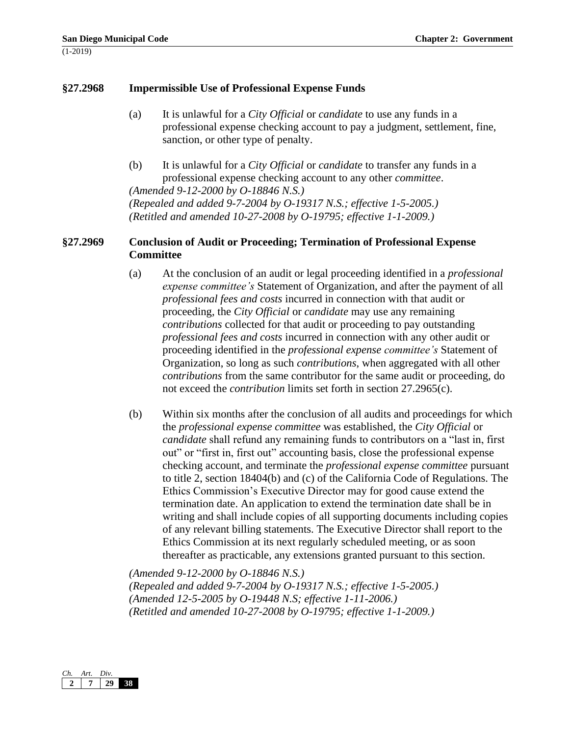#### **§27.2968 Impermissible Use of Professional Expense Funds**

- (a) It is unlawful for a *City Official* or *candidate* to use any funds in a professional expense checking account to pay a judgment, settlement, fine, sanction, or other type of penalty.
- (b) It is unlawful for a *City Official* or *candidate* to transfer any funds in a professional expense checking account to any other *committee*. *(Amended 9-12-2000 by O-18846 N.S.)*

*(Repealed and added 9-7-2004 by O-19317 N.S.; effective 1-5-2005.) (Retitled and amended 10-27-2008 by O-19795; effective 1-1-2009.)*

#### **§27.2969 Conclusion of Audit or Proceeding; Termination of Professional Expense Committee**

- (a) At the conclusion of an audit or legal proceeding identified in a *professional expense committee's* Statement of Organization, and after the payment of all *professional fees and costs* incurred in connection with that audit or proceeding, the *City Official* or *candidate* may use any remaining *contributions* collected for that audit or proceeding to pay outstanding *professional fees and costs* incurred in connection with any other audit or proceeding identified in the *professional expense committee's* Statement of Organization, so long as such *contributions*, when aggregated with all other *contributions* from the same contributor for the same audit or proceeding, do not exceed the *contribution* limits set forth in section 27.2965(c).
- (b) Within six months after the conclusion of all audits and proceedings for which the *professional expense committee* was established, the *City Official* or *candidate* shall refund any remaining funds to contributors on a "last in, first out" or "first in, first out" accounting basis, close the professional expense checking account, and terminate the *professional expense committee* pursuant to title 2, section 18404(b) and (c) of the California Code of Regulations. The Ethics Commission's Executive Director may for good cause extend the termination date. An application to extend the termination date shall be in writing and shall include copies of all supporting documents including copies of any relevant billing statements. The Executive Director shall report to the Ethics Commission at its next regularly scheduled meeting, or as soon thereafter as practicable, any extensions granted pursuant to this section.

*(Amended 9-12-2000 by O-18846 N.S.) (Repealed and added 9-7-2004 by O-19317 N.S.; effective 1-5-2005.) (Amended 12-5-2005 by O-19448 N.S; effective 1-11-2006.) (Retitled and amended 10-27-2008 by O-19795; effective 1-1-2009.)*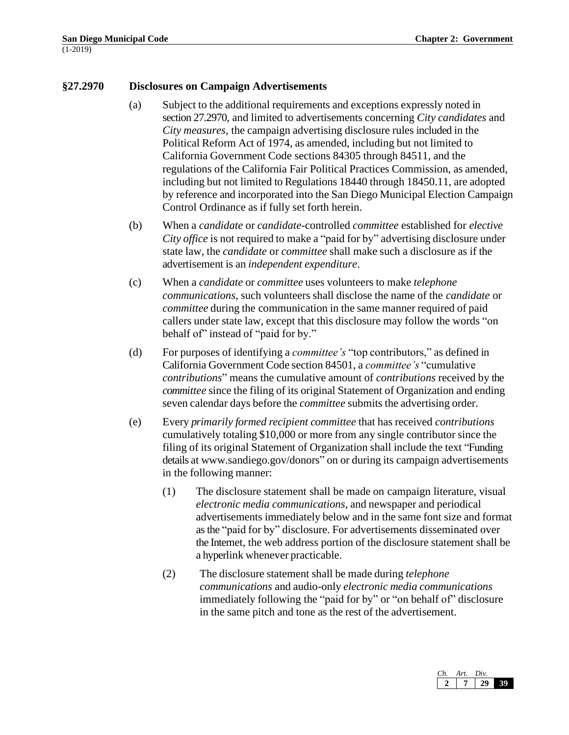#### **§27.2970 Disclosures on Campaign Advertisements**

- (a) Subject to the additional requirements and exceptions expressly noted in section 27.2970, and limited to advertisements concerning *City candidates* and *City measures*, the campaign advertising disclosure rules included in the Political Reform Act of 1974, as amended, including but not limited to California Government Code sections 84305 through 84511, and the regulations of the California Fair Political Practices Commission, as amended, including but not limited to Regulations 18440 through 18450.11, are adopted by reference and incorporated into the San Diego Municipal Election Campaign Control Ordinance as if fully set forth herein.
- (b) When a *candidate* or *candidate*-controlled *committee* established for *elective City office* is not required to make a "paid for by" advertising disclosure under state law, the *candidate* or *committee* shall make such a disclosure as if the advertisement is an *independent expenditure*.
- (c) When a *candidate* or *committee* uses volunteers to make *telephone communications*, such volunteers shall disclose the name of the *candidate* or *committee* during the communication in the same manner required of paid callers under state law, except that this disclosure may follow the words "on behalf of" instead of "paid for by."
- (d) For purposes of identifying a *committee's* "top contributors," as defined in California Government Code section 84501, a *committee's* "cumulative *contributions*" means the cumulative amount of *contributions* received by the *committee* since the filing of its original Statement of Organization and ending seven calendar days before the *committee* submits the advertising order.
- (e) Every *primarily formed recipient committee* that has received *contributions* cumulatively totaling \$10,000 or more from any single contributor since the filing of its original Statement of Organization shall include the text "Funding details at [www.sandiego.gov/donors"](http://www.sandiego.gov/donors) on or during its campaign advertisements in the following manner:
	- (1) The disclosure statement shall be made on campaign literature, visual *electronic media communications*, and newspaper and periodical advertisements immediately below and in the same font size and format as the "paid for by" disclosure. For advertisements disseminated over the Internet, the web address portion of the disclosure statement shall be a hyperlink whenever practicable.
	- (2) The disclosure statement shall be made during *telephone communications* and audio-only *electronic media communications* immediately following the "paid for by" or "on behalf of" disclosure in the same pitch and tone as the rest of the advertisement.

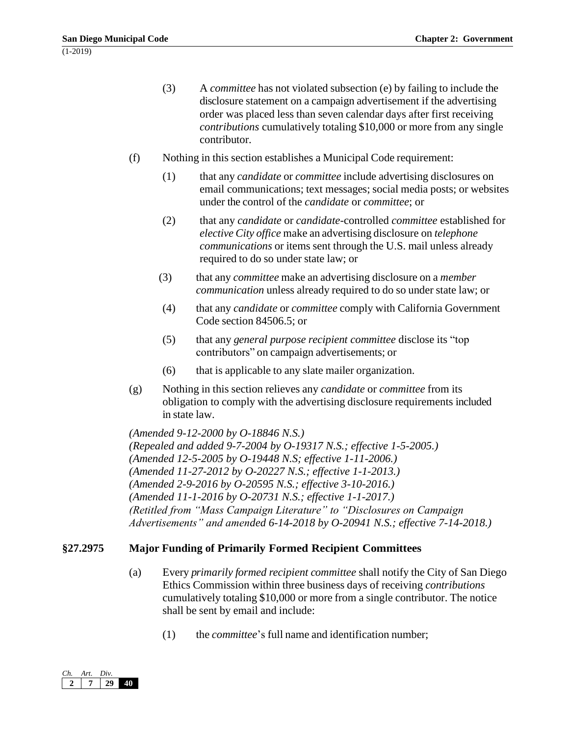- (3) A *committee* has not violated subsection (e) by failing to include the disclosure statement on a campaign advertisement if the advertising order was placed less than seven calendar days after first receiving *contributions* cumulatively totaling \$10,000 or more from any single contributor.
- (f) Nothing in this section establishes a Municipal Code requirement:
	- (1) that any *candidate* or *committee* include advertising disclosures on email communications; text messages; social media posts; or websites under the control of the *candidate* or *committee*; or
	- (2) that any *candidate* or *candidate-*controlled *committee* established for *elective City office* make an advertising disclosure on *telephone communications* or items sent through the U.S. mail unless already required to do so under state law; or
	- (3) that any *committee* make an advertising disclosure on a *member communication* unless already required to do so under state law; or
	- (4) that any *candidate* or *committee* comply with California Government Code section 84506.5; or
	- (5) that any *general purpose recipient committee* disclose its "top contributors" on campaign advertisements; or
	- (6) that is applicable to any slate mailer organization.
- (g) Nothing in this section relieves any *candidate* or *committee* from its obligation to comply with the advertising disclosure requirements included in state law.

*(Amended 9-12-2000 by O-18846 N.S.) (Repealed and added 9-7-2004 by O-19317 N.S.; effective 1-5-2005.) (Amended 12-5-2005 by O-19448 N.S; effective 1-11-2006.) (Amended 11-27-2012 by O-20227 N.S.; effective 1-1-2013.) (Amended 2-9-2016 by O-20595 N.S.; effective 3-10-2016.) (Amended 11-1-2016 by O-20731 N.S.; effective 1-1-2017.) (Retitled from "Mass Campaign Literature" to "Disclosures on Campaign Advertisements" and amended 6-14-2018 by O-20941 N.S.; effective 7-14-2018.)*

# **§27.2975 Major Funding of Primarily Formed Recipient Committees**

- (a) Every *primarily formed recipient committee* shall notify the City of San Diego Ethics Commission within three business days of receiving *contributions* cumulatively totaling \$10,000 or more from a single contributor. The notice shall be sent by email and include:
	- (1) the *committee*'s full name and identification number;

| ำ | Art. | Div. |  |
|---|------|------|--|
|   |      |      |  |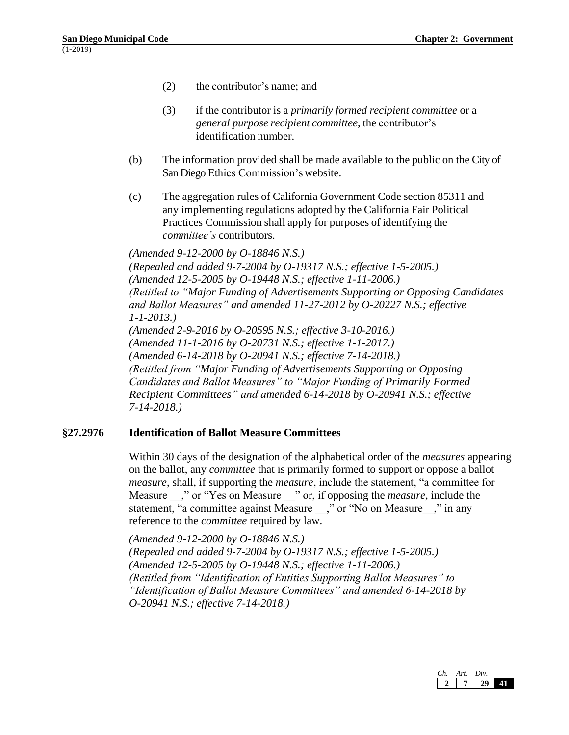- (2) the contributor's name; and
- (3) if the contributor is a *primarily formed recipient committee* or a *general purpose recipient committee*, the contributor's identification number.
- (b) The information provided shall be made available to the public on the City of San Diego Ethics Commission's website.
- (c) The aggregation rules of California Government Code section 85311 and any implementing regulations adopted by the California Fair Political Practices Commission shall apply for purposes of identifying the *committee's* contributors.

*(Amended 9-12-2000 by O-18846 N.S.) (Repealed and added 9-7-2004 by O-19317 N.S.; effective 1-5-2005.) (Amended 12-5-2005 by O-19448 N.S.; effective 1-11-2006.) (Retitled to "Major Funding of Advertisements Supporting or Opposing Candidates and Ballot Measures" and amended 11-27-2012 by O-20227 N.S.; effective 1-1-2013.) (Amended 2-9-2016 by O-20595 N.S.; effective 3-10-2016.) (Amended 11-1-2016 by O-20731 N.S.; effective 1-1-2017.) (Amended 6-14-2018 by O-20941 N.S.; effective 7-14-2018.) (Retitled from "Major Funding of Advertisements Supporting or Opposing Candidates and Ballot Measures" to "Major Funding of Primarily Formed Recipient Committees" and amended 6-14-2018 by O-20941 N.S.; effective 7-14-2018.)*

# **§27.2976 Identification of Ballot Measure Committees**

Within 30 days of the designation of the alphabetical order of the *measures* appearing on the ballot, any *committee* that is primarily formed to support or oppose a ballot *measure*, shall, if supporting the *measure*, include the statement, "a committee for Measure  $\cdot$ ," or "Yes on Measure  $\cdot$ " or, if opposing the *measure*, include the statement, "a committee against Measure  $\overline{a}$ ," or "No on Measure  $\overline{a}$ ," in any reference to the *committee* required by law.

*(Amended 9-12-2000 by O-18846 N.S.) (Repealed and added 9-7-2004 by O-19317 N.S.; effective 1-5-2005.) (Amended 12-5-2005 by O-19448 N.S.; effective 1-11-2006.) (Retitled from "Identification of Entities Supporting Ballot Measures" to "Identification of Ballot Measure Committees" and amended 6-14-2018 by O-20941 N.S.; effective 7-14-2018.)*

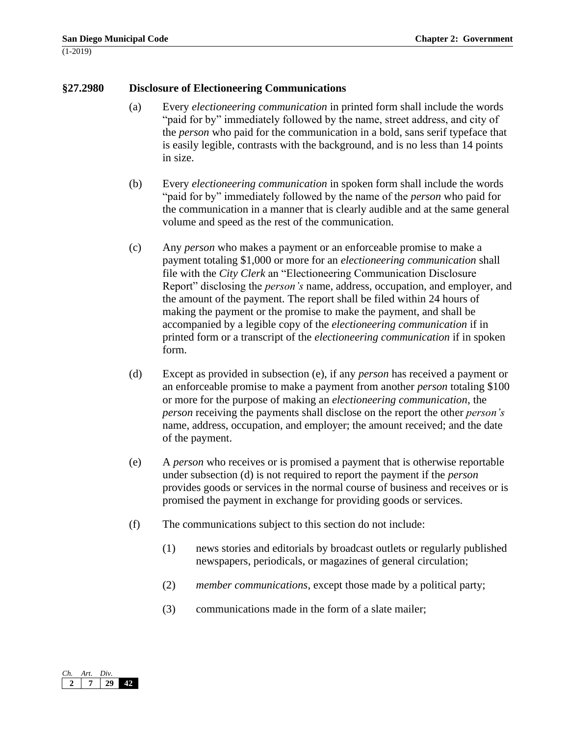#### **§27.2980 Disclosure of Electioneering Communications**

- (a) Every *electioneering communication* in printed form shall include the words "paid for by" immediately followed by the name, street address, and city of the *person* who paid for the communication in a bold, sans serif typeface that is easily legible, contrasts with the background, and is no less than 14 points in size.
- (b) Every *electioneering communication* in spoken form shall include the words "paid for by" immediately followed by the name of the *person* who paid for the communication in a manner that is clearly audible and at the same general volume and speed as the rest of the communication.
- (c) Any *person* who makes a payment or an enforceable promise to make a payment totaling \$1,000 or more for an *electioneering communication* shall file with the *City Clerk* an "Electioneering Communication Disclosure Report" disclosing the *person's* name, address, occupation, and employer, and the amount of the payment. The report shall be filed within 24 hours of making the payment or the promise to make the payment, and shall be accompanied by a legible copy of the *electioneering communication* if in printed form or a transcript of the *electioneering communication* if in spoken form.
- (d) Except as provided in subsection (e), if any *person* has received a payment or an enforceable promise to make a payment from another *person* totaling \$100 or more for the purpose of making an *electioneering communication*, the *person* receiving the payments shall disclose on the report the other *person's* name, address, occupation, and employer; the amount received; and the date of the payment.
- (e) A *person* who receives or is promised a payment that is otherwise reportable under subsection (d) is not required to report the payment if the *person* provides goods or services in the normal course of business and receives or is promised the payment in exchange for providing goods or services.
- (f) The communications subject to this section do not include:
	- (1) news stories and editorials by broadcast outlets or regularly published newspapers, periodicals, or magazines of general circulation;
	- (2) *member communications*, except those made by a political party;
	- (3) communications made in the form of a slate mailer;

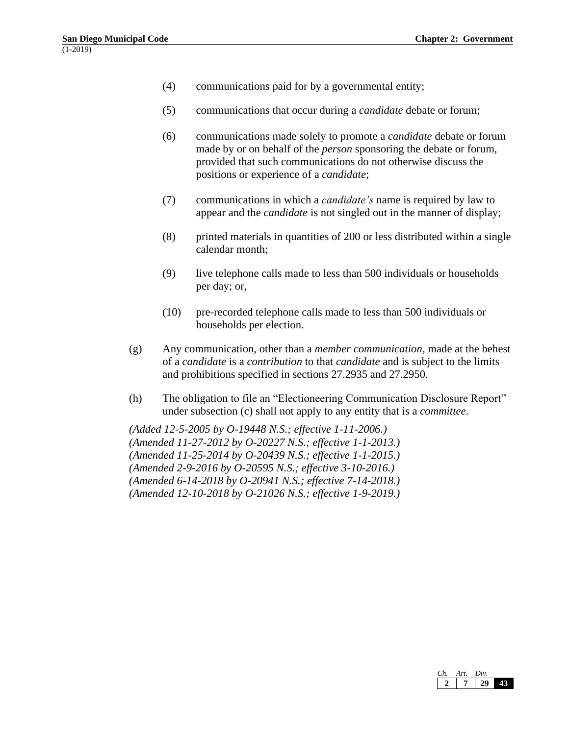- (4) communications paid for by a governmental entity;
- (5) communications that occur during a *candidate* debate or forum;
- (6) communications made solely to promote a *candidate* debate or forum made by or on behalf of the *person* sponsoring the debate or forum, provided that such communications do not otherwise discuss the positions or experience of a *candidate*;
- (7) communications in which a *candidate's* name is required by law to appear and the *candidate* is not singled out in the manner of display;
- (8) printed materials in quantities of 200 or less distributed within a single calendar month;
- (9) live telephone calls made to less than 500 individuals or households per day; or,
- (10) pre-recorded telephone calls made to less than 500 individuals or households per election.
- (g) Any communication, other than a *member communication*, made at the behest of a *candidate* is a *contribution* to that *candidate* and is subject to the limits and prohibitions specified in sections 27.2935 and 27.2950.
- (h) The obligation to file an "Electioneering Communication Disclosure Report" under subsection (c) shall not apply to any entity that is a *committee*.

*(Added 12-5-2005 by O-19448 N.S.; effective 1-11-2006.) (Amended 11-27-2012 by O-20227 N.S.; effective 1-1-2013.) (Amended 11-25-2014 by O-20439 N.S.; effective 1-1-2015.) (Amended 2-9-2016 by O-20595 N.S.; effective 3-10-2016.) (Amended 6-14-2018 by O-20941 N.S.; effective 7-14-2018.) (Amended 12-10-2018 by O-21026 N.S.; effective 1-9-2019.)*

| Art. | Div. |  |
|------|------|--|
|      |      |  |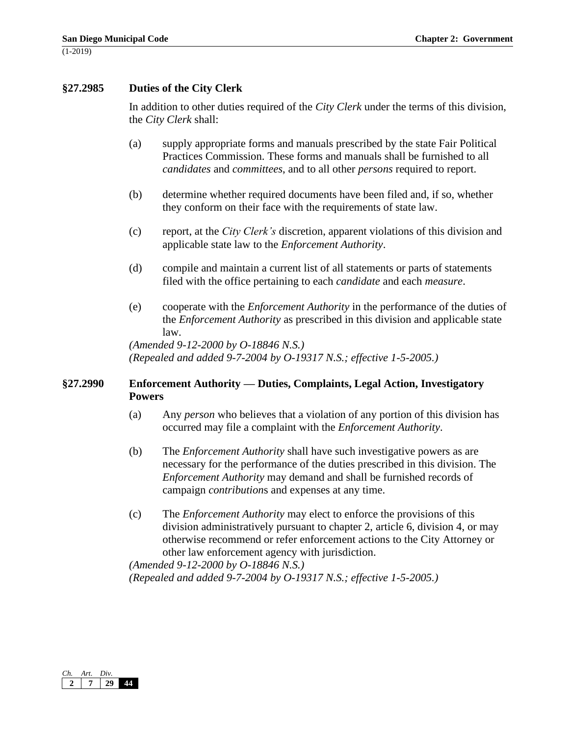# **§27.2985 Duties of the City Clerk**

In addition to other duties required of the *City Clerk* under the terms of this division, the *City Clerk* shall:

- (a) supply appropriate forms and manuals prescribed by the state Fair Political Practices Commission. These forms and manuals shall be furnished to all *candidates* and *committees*, and to all other *persons* required to report.
- (b) determine whether required documents have been filed and, if so, whether they conform on their face with the requirements of state law.
- (c) report, at the *City Clerk's* discretion, apparent violations of this division and applicable state law to the *Enforcement Authority*.
- (d) compile and maintain a current list of all statements or parts of statements filed with the office pertaining to each *candidate* and each *measure*.
- (e) cooperate with the *Enforcement Authority* in the performance of the duties of the *Enforcement Authority* as prescribed in this division and applicable state law.

*(Amended 9-12-2000 by O-18846 N.S.) (Repealed and added 9-7-2004 by O-19317 N.S.; effective 1-5-2005.)*

# **§27.2990 Enforcement Authority — Duties, Complaints, Legal Action, Investigatory Powers**

- (a) Any *person* who believes that a violation of any portion of this division has occurred may file a complaint with the *Enforcement Authority*.
- (b) The *Enforcement Authority* shall have such investigative powers as are necessary for the performance of the duties prescribed in this division. The *Enforcement Authority* may demand and shall be furnished records of campaign *contribution*s and expenses at any time.
- (c) The *Enforcement Authority* may elect to enforce the provisions of this division administratively pursuant to chapter 2, article 6, division 4, or may otherwise recommend or refer enforcement actions to the City Attorney or other law enforcement agency with jurisdiction.

*(Amended 9-12-2000 by O-18846 N.S.) (Repealed and added 9-7-2004 by O-19317 N.S.; effective 1-5-2005.)*